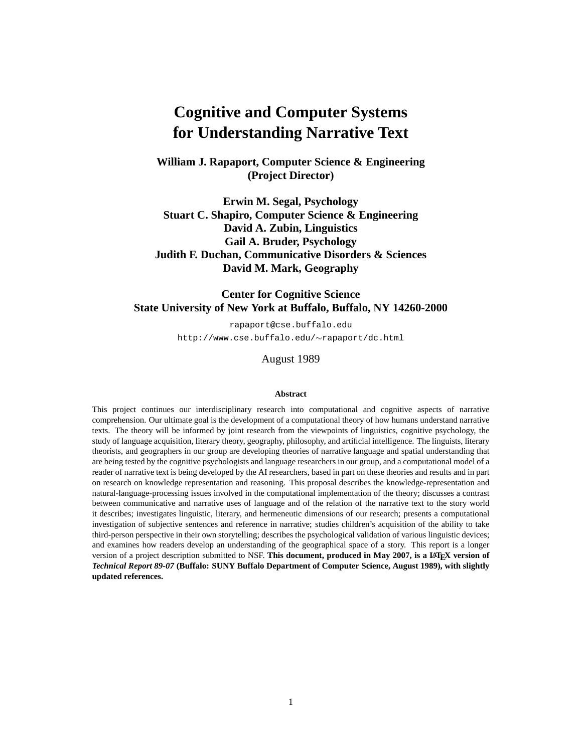# **Cognitive and Computer Systems for Understanding Narrative Text**

**William J. Rapaport, Computer Science & Engineering (Project Director)**

**Erwin M. Segal, Psychology Stuart C. Shapiro, Computer Science & Engineering David A. Zubin, Linguistics Gail A. Bruder, Psychology Judith F. Duchan, Communicative Disorders & Sciences David M. Mark, Geography**

**Center for Cognitive Science State University of New York at Buffalo, Buffalo, NY 14260-2000**

rapaport@cse.buffalo.edu

http://www.cse.buffalo.edu/∼rapaport/dc.html

August 1989

#### **Abstract**

This project continues our interdisciplinary research into computational and cognitive aspects of narrative comprehension. Our ultimate goal is the development of a computational theory of how humans understand narrative texts. The theory will be informed by joint research from the viewpoints of linguistics, cognitive psychology, the study of language acquisition, literary theory, geography, philosophy, and artificial intelligence. The linguists, literary theorists, and geographers in our group are developing theories of narrative language and spatial understanding that are being tested by the cognitive psychologists and language researchers in our group, and a computational model of a reader of narrative text is being developed by the AI researchers, based in part on these theories and results and in part on research on knowledge representation and reasoning. This proposal describes the knowledge-representation and natural-language-processing issues involved in the computational implementation of the theory; discusses a contrast between communicative and narrative uses of language and of the relation of the narrative text to the story world it describes; investigates linguistic, literary, and hermeneutic dimensions of our research; presents a computational investigation of subjective sentences and reference in narrative; studies children's acquisition of the ability to take third-person perspective in their own storytelling; describes the psychological validation of various linguistic devices; and examines how readers develop an understanding of the geographical space of a story. This report is a longer version of a project description submitted to NSF. This document, produced in May 2007, is a LA**TEX version of** *Technical Report 89-07* **(Buffalo: SUNY Buffalo Department of Computer Science, August 1989), with slightly updated references.**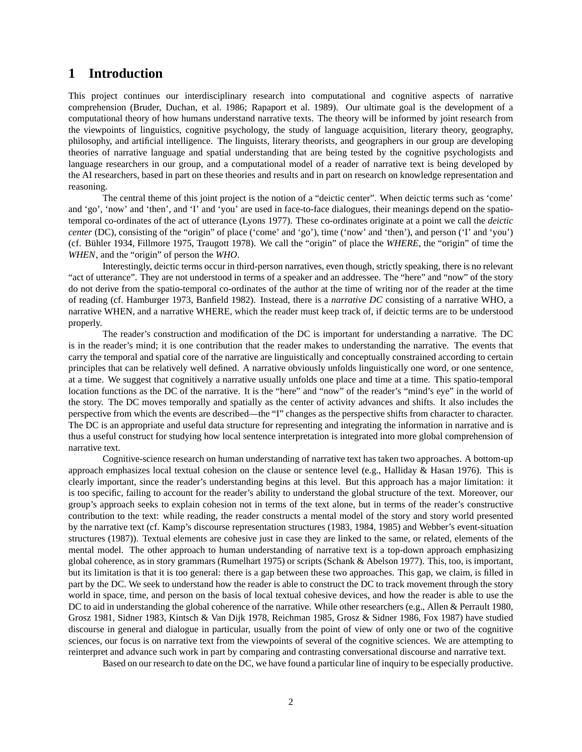# **1 Introduction**

This project continues our interdisciplinary research into computational and cognitive aspects of narrative comprehension (Bruder, Duchan, et al. 1986; Rapaport et al. 1989). Our ultimate goal is the development of a computational theory of how humans understand narrative texts. The theory will be informed by joint research from the viewpoints of linguistics, cognitive psychology, the study of language acquisition, literary theory, geography, philosophy, and artificial intelligence. The linguists, literary theorists, and geographers in our group are developing theories of narrative language and spatial understanding that are being tested by the cognitive psychologists and language researchers in our group, and a computational model of a reader of narrative text is being developed by the AI researchers, based in part on these theories and results and in part on research on knowledge representation and reasoning.

The central theme of this joint project is the notion of a "deictic center". When deictic terms such as 'come' and 'go', 'now' and 'then', and 'I' and 'you' are used in face-to-face dialogues, their meanings depend on the spatiotemporal co-ordinates of the act of utterance (Lyons 1977). These co-ordinates originate at a point we call the *deictic center* (DC), consisting of the "origin" of place ('come' and 'go'), time ('now' and 'then'), and person ('I' and 'you') (cf. Bühler 1934, Fillmore 1975, Traugott 1978). We call the "origin" of place the *WHERE*, the "origin" of time the *WHEN*, and the "origin" of person the *WHO*.

Interestingly, deictic terms occur in third-person narratives, even though, strictly speaking, there is no relevant "act of utterance". They are not understood in terms of a speaker and an addressee. The "here" and "now" of the story do not derive from the spatio-temporal co-ordinates of the author at the time of writing nor of the reader at the time of reading (cf. Hamburger 1973, Banfield 1982). Instead, there is a *narrative DC* consisting of a narrative WHO, a narrative WHEN, and a narrative WHERE, which the reader must keep track of, if deictic terms are to be understood properly.

The reader's construction and modification of the DC is important for understanding a narrative. The DC is in the reader's mind; it is one contribution that the reader makes to understanding the narrative. The events that carry the temporal and spatial core of the narrative are linguistically and conceptually constrained according to certain principles that can be relatively well defined. A narrative obviously unfolds linguistically one word, or one sentence, at a time. We suggest that cognitively a narrative usually unfolds one place and time at a time. This spatio-temporal location functions as the DC of the narrative. It is the "here" and "now" of the reader's "mind's eye" in the world of the story. The DC moves temporally and spatially as the center of activity advances and shifts. It also includes the perspective from which the events are described—the "I" changes as the perspective shifts from character to character. The DC is an appropriate and useful data structure for representing and integrating the information in narrative and is thus a useful construct for studying how local sentence interpretation is integrated into more global comprehension of narrative text.

Cognitive-science research on human understanding of narrative text has taken two approaches. A bottom-up approach emphasizes local textual cohesion on the clause or sentence level (e.g., Halliday  $\&$  Hasan 1976). This is clearly important, since the reader's understanding begins at this level. But this approach has a major limitation: it is too specific, failing to account for the reader's ability to understand the global structure of the text. Moreover, our group's approach seeks to explain cohesion not in terms of the text alone, but in terms of the reader's constructive contribution to the text: while reading, the reader constructs a mental model of the story and story world presented by the narrative text (cf. Kamp's discourse representation structures (1983, 1984, 1985) and Webber's event-situation structures (1987)). Textual elements are cohesive just in case they are linked to the same, or related, elements of the mental model. The other approach to human understanding of narrative text is a top-down approach emphasizing global coherence, as in story grammars (Rumelhart 1975) or scripts (Schank & Abelson 1977). This, too, is important, but its limitation is that it is too general: there is a gap between these two approaches. This gap, we claim, is filled in part by the DC. We seek to understand how the reader is able to construct the DC to track movement through the story world in space, time, and person on the basis of local textual cohesive devices, and how the reader is able to use the DC to aid in understanding the global coherence of the narrative. While other researchers (e.g., Allen & Perrault 1980, Grosz 1981, Sidner 1983, Kintsch & Van Dijk 1978, Reichman 1985, Grosz & Sidner 1986, Fox 1987) have studied discourse in general and dialogue in particular, usually from the point of view of only one or two of the cognitive sciences, our focus is on narrative text from the viewpoints of several of the cognitive sciences. We are attempting to reinterpret and advance such work in part by comparing and contrasting conversational discourse and narrative text.

Based on our research to date on the DC, we have found a particular line of inquiry to be especially productive.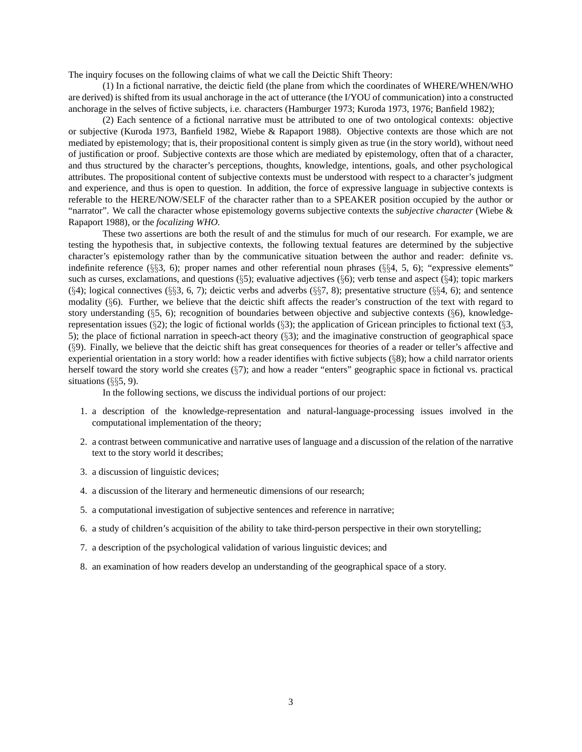The inquiry focuses on the following claims of what we call the Deictic Shift Theory:

(1) In a fictional narrative, the deictic field (the plane from which the coordinates of WHERE/WHEN/WHO are derived) is shifted from its usual anchorage in the act of utterance (the I/YOU of communication) into a constructed anchorage in the selves of fictive subjects, i.e. characters (Hamburger 1973; Kuroda 1973, 1976; Banfield 1982);

(2) Each sentence of a fictional narrative must be attributed to one of two ontological contexts: objective or subjective (Kuroda 1973, Banfield 1982, Wiebe & Rapaport 1988). Objective contexts are those which are not mediated by epistemology; that is, their propositional content is simply given as true (in the story world), without need of justification or proof. Subjective contexts are those which are mediated by epistemology, often that of a character, and thus structured by the character's perceptions, thoughts, knowledge, intentions, goals, and other psychological attributes. The propositional content of subjective contexts must be understood with respect to a character's judgment and experience, and thus is open to question. In addition, the force of expressive language in subjective contexts is referable to the HERE/NOW/SELF of the character rather than to a SPEAKER position occupied by the author or "narrator". We call the character whose epistemology governs subjective contexts the *subjective character* (Wiebe & Rapaport 1988), or the *focalizing WHO.*

These two assertions are both the result of and the stimulus for much of our research. For example, we are testing the hypothesis that, in subjective contexts, the following textual features are determined by the subjective character's epistemology rather than by the communicative situation between the author and reader: definite vs. indefinite reference (§§3, 6); proper names and other referential noun phrases (§§4, 5, 6); "expressive elements" such as curses, exclamations, and questions  $(\S 5)$ ; evaluative adjectives  $(\S 6)$ ; verb tense and aspect  $(\S 4)$ ; topic markers  $(\S4)$ ; logical connectives  $(\S\S3, 6, 7)$ ; deictic verbs and adverbs  $(\S\S7, 8)$ ; presentative structure  $(\S\S4, 6)$ ; and sentence modality (§6). Further, we believe that the deictic shift affects the reader's construction of the text with regard to story understanding (§5, 6); recognition of boundaries between objective and subjective contexts (§6), knowledgerepresentation issues (§2); the logic of fictional worlds (§3); the application of Gricean principles to fictional text (§3, 5); the place of fictional narration in speech-act theory (§3); and the imaginative construction of geographical space (§9). Finally, we believe that the deictic shift has great consequences for theories of a reader or teller's affective and experiential orientation in a story world: how a reader identifies with fictive subjects  $(\S 8)$ ; how a child narrator orients herself toward the story world she creates (§7); and how a reader "enters" geographic space in fictional vs. practical situations (§§5, 9).

In the following sections, we discuss the individual portions of our project:

- 1. a description of the knowledge-representation and natural-language-processing issues involved in the computational implementation of the theory;
- 2. a contrast between communicative and narrative uses of language and a discussion of the relation of the narrative text to the story world it describes;
- 3. a discussion of linguistic devices;
- 4. a discussion of the literary and hermeneutic dimensions of our research;
- 5. a computational investigation of subjective sentences and reference in narrative;
- 6. a study of children's acquisition of the ability to take third-person perspective in their own storytelling;
- 7. a description of the psychological validation of various linguistic devices; and
- 8. an examination of how readers develop an understanding of the geographical space of a story.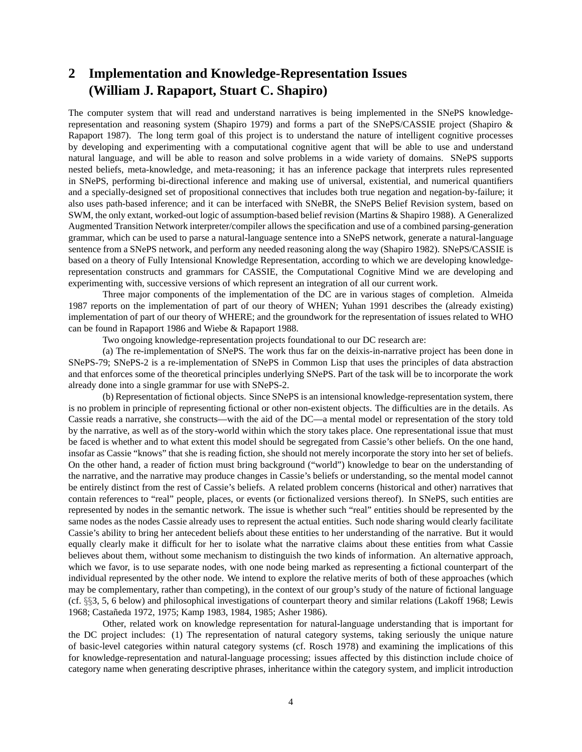# **2 Implementation and Knowledge-Representation Issues (William J. Rapaport, Stuart C. Shapiro)**

The computer system that will read and understand narratives is being implemented in the SNePS knowledgerepresentation and reasoning system (Shapiro 1979) and forms a part of the SNePS/CASSIE project (Shapiro & Rapaport 1987). The long term goal of this project is to understand the nature of intelligent cognitive processes by developing and experimenting with a computational cognitive agent that will be able to use and understand natural language, and will be able to reason and solve problems in a wide variety of domains. SNePS supports nested beliefs, meta-knowledge, and meta-reasoning; it has an inference package that interprets rules represented in SNePS, performing bi-directional inference and making use of universal, existential, and numerical quantifiers and a specially-designed set of propositional connectives that includes both true negation and negation-by-failure; it also uses path-based inference; and it can be interfaced with SNeBR, the SNePS Belief Revision system, based on SWM, the only extant, worked-out logic of assumption-based belief revision (Martins & Shapiro 1988). A Generalized Augmented Transition Network interpreter/compiler allows the specification and use of a combined parsing-generation grammar, which can be used to parse a natural-language sentence into a SNePS network, generate a natural-language sentence from a SNePS network, and perform any needed reasoning along the way (Shapiro 1982). SNePS/CASSIE is based on a theory of Fully Intensional Knowledge Representation, according to which we are developing knowledgerepresentation constructs and grammars for CASSIE, the Computational Cognitive Mind we are developing and experimenting with, successive versions of which represent an integration of all our current work.

Three major components of the implementation of the DC are in various stages of completion. Almeida 1987 reports on the implementation of part of our theory of WHEN; Yuhan 1991 describes the (already existing) implementation of part of our theory of WHERE; and the groundwork for the representation of issues related to WHO can be found in Rapaport 1986 and Wiebe & Rapaport 1988.

Two ongoing knowledge-representation projects foundational to our DC research are:

(a) The re-implementation of SNePS. The work thus far on the deixis-in-narrative project has been done in SNePS-79; SNePS-2 is a re-implementation of SNePS in Common Lisp that uses the principles of data abstraction and that enforces some of the theoretical principles underlying SNePS. Part of the task will be to incorporate the work already done into a single grammar for use with SNePS-2.

(b) Representation of fictional objects. Since SNePS is an intensional knowledge-representation system, there is no problem in principle of representing fictional or other non-existent objects. The difficulties are in the details. As Cassie reads a narrative, she constructs—with the aid of the DC—a mental model or representation of the story told by the narrative, as well as of the story-world within which the story takes place. One representational issue that must be faced is whether and to what extent this model should be segregated from Cassie's other beliefs. On the one hand, insofar as Cassie "knows" that she is reading fiction, she should not merely incorporate the story into her set of beliefs. On the other hand, a reader of fiction must bring background ("world") knowledge to bear on the understanding of the narrative, and the narrative may produce changes in Cassie's beliefs or understanding, so the mental model cannot be entirely distinct from the rest of Cassie's beliefs. A related problem concerns (historical and other) narratives that contain references to "real" people, places, or events (or fictionalized versions thereof). In SNePS, such entities are represented by nodes in the semantic network. The issue is whether such "real" entities should be represented by the same nodes as the nodes Cassie already uses to represent the actual entities. Such node sharing would clearly facilitate Cassie's ability to bring her antecedent beliefs about these entities to her understanding of the narrative. But it would equally clearly make it difficult for her to isolate what the narrative claims about these entities from what Cassie believes about them, without some mechanism to distinguish the two kinds of information. An alternative approach, which we favor, is to use separate nodes, with one node being marked as representing a fictional counterpart of the individual represented by the other node. We intend to explore the relative merits of both of these approaches (which may be complementary, rather than competing), in the context of our group's study of the nature of fictional language (cf. §§3, 5, 6 below) and philosophical investigations of counterpart theory and similar relations (Lakoff 1968; Lewis 1968; Castaneda 1972, 1975; Kamp 1983, 1984, 1985; Asher 1986). ˜

Other, related work on knowledge representation for natural-language understanding that is important for the DC project includes: (1) The representation of natural category systems, taking seriously the unique nature of basic-level categories within natural category systems (cf. Rosch 1978) and examining the implications of this for knowledge-representation and natural-language processing; issues affected by this distinction include choice of category name when generating descriptive phrases, inheritance within the category system, and implicit introduction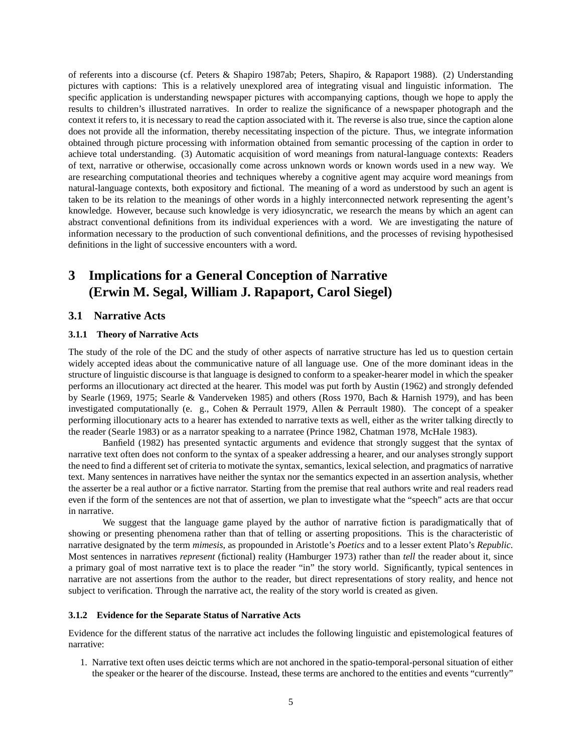of referents into a discourse (cf. Peters & Shapiro 1987ab; Peters, Shapiro, & Rapaport 1988). (2) Understanding pictures with captions: This is a relatively unexplored area of integrating visual and linguistic information. The specific application is understanding newspaper pictures with accompanying captions, though we hope to apply the results to children's illustrated narratives. In order to realize the significance of a newspaper photograph and the context it refers to, it is necessary to read the caption associated with it. The reverse is also true, since the caption alone does not provide all the information, thereby necessitating inspection of the picture. Thus, we integrate information obtained through picture processing with information obtained from semantic processing of the caption in order to achieve total understanding. (3) Automatic acquisition of word meanings from natural-language contexts: Readers of text, narrative or otherwise, occasionally come across unknown words or known words used in a new way. We are researching computational theories and techniques whereby a cognitive agent may acquire word meanings from natural-language contexts, both expository and fictional. The meaning of a word as understood by such an agent is taken to be its relation to the meanings of other words in a highly interconnected network representing the agent's knowledge. However, because such knowledge is very idiosyncratic, we research the means by which an agent can abstract conventional definitions from its individual experiences with a word. We are investigating the nature of information necessary to the production of such conventional definitions, and the processes of revising hypothesised definitions in the light of successive encounters with a word.

# **3 Implications for a General Conception of Narrative (Erwin M. Segal, William J. Rapaport, Carol Siegel)**

### **3.1 Narrative Acts**

#### **3.1.1 Theory of Narrative Acts**

The study of the role of the DC and the study of other aspects of narrative structure has led us to question certain widely accepted ideas about the communicative nature of all language use. One of the more dominant ideas in the structure of linguistic discourse is that language is designed to conform to a speaker-hearer model in which the speaker performs an illocutionary act directed at the hearer. This model was put forth by Austin (1962) and strongly defended by Searle (1969, 1975; Searle & Vanderveken 1985) and others (Ross 1970, Bach & Harnish 1979), and has been investigated computationally (e. g., Cohen & Perrault 1979, Allen & Perrault 1980). The concept of a speaker performing illocutionary acts to a hearer has extended to narrative texts as well, either as the writer talking directly to the reader (Searle 1983) or as a narrator speaking to a narratee (Prince 1982, Chatman 1978, McHale 1983).

Banfield (1982) has presented syntactic arguments and evidence that strongly suggest that the syntax of narrative text often does not conform to the syntax of a speaker addressing a hearer, and our analyses strongly support the need to find a different set of criteria to motivate the syntax, semantics, lexical selection, and pragmatics of narrative text. Many sentences in narratives have neither the syntax nor the semantics expected in an assertion analysis, whether the asserter be a real author or a fictive narrator. Starting from the premise that real authors write and real readers read even if the form of the sentences are not that of assertion, we plan to investigate what the "speech" acts are that occur in narrative.

We suggest that the language game played by the author of narrative fiction is paradigmatically that of showing or presenting phenomena rather than that of telling or asserting propositions. This is the characteristic of narrative designated by the term *mimesis*, as propounded in Aristotle's *Poetics* and to a lesser extent Plato's *Republic.* Most sentences in narratives *represent* (fictional) reality (Hamburger 1973) rather than *tell* the reader about it, since a primary goal of most narrative text is to place the reader "in" the story world. Significantly, typical sentences in narrative are not assertions from the author to the reader, but direct representations of story reality, and hence not subject to verification. Through the narrative act, the reality of the story world is created as given.

#### **3.1.2 Evidence for the Separate Status of Narrative Acts**

Evidence for the different status of the narrative act includes the following linguistic and epistemological features of narrative:

1. Narrative text often uses deictic terms which are not anchored in the spatio-temporal-personal situation of either the speaker or the hearer of the discourse. Instead, these terms are anchored to the entities and events "currently"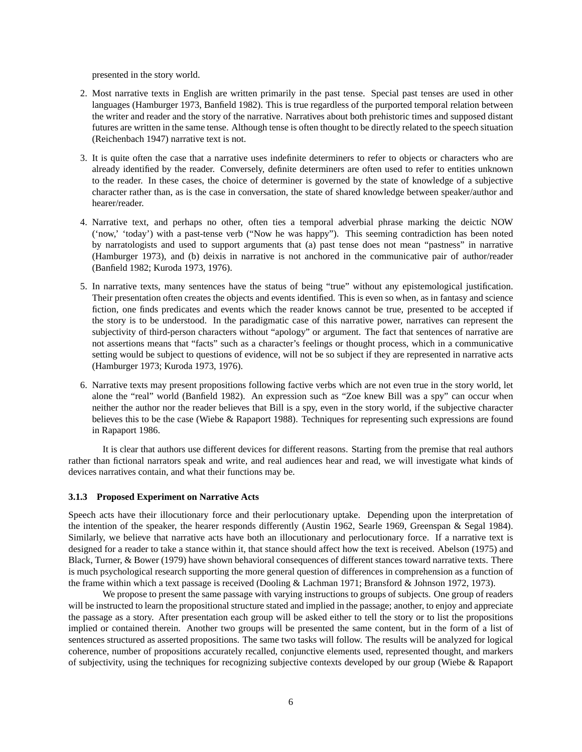presented in the story world.

- 2. Most narrative texts in English are written primarily in the past tense. Special past tenses are used in other languages (Hamburger 1973, Banfield 1982). This is true regardless of the purported temporal relation between the writer and reader and the story of the narrative. Narratives about both prehistoric times and supposed distant futures are written in the same tense. Although tense is often thought to be directly related to the speech situation (Reichenbach 1947) narrative text is not.
- 3. It is quite often the case that a narrative uses indefinite determiners to refer to objects or characters who are already identified by the reader. Conversely, definite determiners are often used to refer to entities unknown to the reader. In these cases, the choice of determiner is governed by the state of knowledge of a subjective character rather than, as is the case in conversation, the state of shared knowledge between speaker/author and hearer/reader.
- 4. Narrative text, and perhaps no other, often ties a temporal adverbial phrase marking the deictic NOW ('now,' 'today') with a past-tense verb ("Now he was happy"). This seeming contradiction has been noted by narratologists and used to support arguments that (a) past tense does not mean "pastness" in narrative (Hamburger 1973), and (b) deixis in narrative is not anchored in the communicative pair of author/reader (Banfield 1982; Kuroda 1973, 1976).
- 5. In narrative texts, many sentences have the status of being "true" without any epistemological justification. Their presentation often creates the objects and events identified. This is even so when, as in fantasy and science fiction, one finds predicates and events which the reader knows cannot be true, presented to be accepted if the story is to be understood. In the paradigmatic case of this narrative power, narratives can represent the subjectivity of third-person characters without "apology" or argument. The fact that sentences of narrative are not assertions means that "facts" such as a character's feelings or thought process, which in a communicative setting would be subject to questions of evidence, will not be so subject if they are represented in narrative acts (Hamburger 1973; Kuroda 1973, 1976).
- 6. Narrative texts may present propositions following factive verbs which are not even true in the story world, let alone the "real" world (Banfield 1982). An expression such as "Zoe knew Bill was a spy" can occur when neither the author nor the reader believes that Bill is a spy, even in the story world, if the subjective character believes this to be the case (Wiebe & Rapaport 1988). Techniques for representing such expressions are found in Rapaport 1986.

It is clear that authors use different devices for different reasons. Starting from the premise that real authors rather than fictional narrators speak and write, and real audiences hear and read, we will investigate what kinds of devices narratives contain, and what their functions may be.

### **3.1.3 Proposed Experiment on Narrative Acts**

Speech acts have their illocutionary force and their perlocutionary uptake. Depending upon the interpretation of the intention of the speaker, the hearer responds differently (Austin 1962, Searle 1969, Greenspan & Segal 1984). Similarly, we believe that narrative acts have both an illocutionary and perlocutionary force. If a narrative text is designed for a reader to take a stance within it, that stance should affect how the text is received. Abelson (1975) and Black, Turner, & Bower (1979) have shown behavioral consequences of different stances toward narrative texts. There is much psychological research supporting the more general question of differences in comprehension as a function of the frame within which a text passage is received (Dooling & Lachman 1971; Bransford & Johnson 1972, 1973).

We propose to present the same passage with varying instructions to groups of subjects. One group of readers will be instructed to learn the propositional structure stated and implied in the passage; another, to enjoy and appreciate the passage as a story. After presentation each group will be asked either to tell the story or to list the propositions implied or contained therein. Another two groups will be presented the same content, but in the form of a list of sentences structured as asserted propositions. The same two tasks will follow. The results will be analyzed for logical coherence, number of propositions accurately recalled, conjunctive elements used, represented thought, and markers of subjectivity, using the techniques for recognizing subjective contexts developed by our group (Wiebe & Rapaport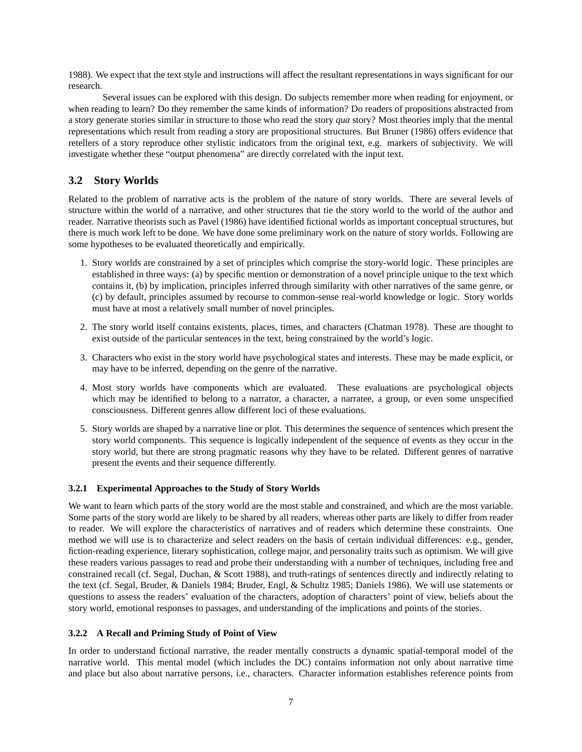1988). We expect that the text style and instructions will affect the resultant representations in ways significant for our research.

Several issues can be explored with this design. Do subjects remember more when reading for enjoyment, or when reading to learn? Do they remember the same kinds of information? Do readers of propositions abstracted from a story generate stories similar in structure to those who read the story *qua* story? Most theories imply that the mental representations which result from reading a story are propositional structures. But Bruner (1986) offers evidence that retellers of a story reproduce other stylistic indicators from the original text, e.g. markers of subjectivity. We will investigate whether these "output phenomena" are directly correlated with the input text.

# **3.2 Story Worlds**

Related to the problem of narrative acts is the problem of the nature of story worlds. There are several levels of structure within the world of a narrative, and other structures that tie the story world to the world of the author and reader. Narrative theorists such as Pavel (1986) have identified fictional worlds as important conceptual structures, but there is much work left to be done. We have done some preliminary work on the nature of story worlds. Following are some hypotheses to be evaluated theoretically and empirically.

- 1. Story worlds are constrained by a set of principles which comprise the story-world logic. These principles are established in three ways: (a) by specific mention or demonstration of a novel principle unique to the text which contains it, (b) by implication, principles inferred through similarity with other narratives of the same genre, or (c) by default, principles assumed by recourse to common-sense real-world knowledge or logic. Story worlds must have at most a relatively small number of novel principles.
- 2. The story world itself contains existents, places, times, and characters (Chatman 1978). These are thought to exist outside of the particular sentences in the text, being constrained by the world's logic.
- 3. Characters who exist in the story world have psychological states and interests. These may be made explicit, or may have to be inferred, depending on the genre of the narrative.
- 4. Most story worlds have components which are evaluated. These evaluations are psychological objects which may be identified to belong to a narrator, a character, a narratee, a group, or even some unspecified consciousness. Different genres allow different loci of these evaluations.
- 5. Story worlds are shaped by a narrative line or plot. This determines the sequence of sentences which present the story world components. This sequence is logically independent of the sequence of events as they occur in the story world, but there are strong pragmatic reasons why they have to be related. Different genres of narrative present the events and their sequence differently.

### **3.2.1 Experimental Approaches to the Study of Story Worlds**

We want to learn which parts of the story world are the most stable and constrained, and which are the most variable. Some parts of the story world are likely to be shared by all readers, whereas other parts are likely to differ from reader to reader. We will explore the characteristics of narratives and of readers which determine these constraints. One method we will use is to characterize and select readers on the basis of certain individual differences: e.g., gender, fiction-reading experience, literary sophistication, college major, and personality traits such as optimism. We will give these readers various passages to read and probe their understanding with a number of techniques, including free and constrained recall (cf. Segal, Duchan, & Scott 1988), and truth-ratings of sentences directly and indirectly relating to the text (cf. Segal, Bruder, & Daniels 1984; Bruder, Engl, & Schultz 1985; Daniels 1986). We will use statements or questions to assess the readers' evaluation of the characters, adoption of characters' point of view, beliefs about the story world, emotional responses to passages, and understanding of the implications and points of the stories.

### **3.2.2 A Recall and Priming Study of Point of View**

In order to understand fictional narrative, the reader mentally constructs a dynamic spatial-temporal model of the narrative world. This mental model (which includes the DC) contains information not only about narrative time and place but also about narrative persons, i.e., characters. Character information establishes reference points from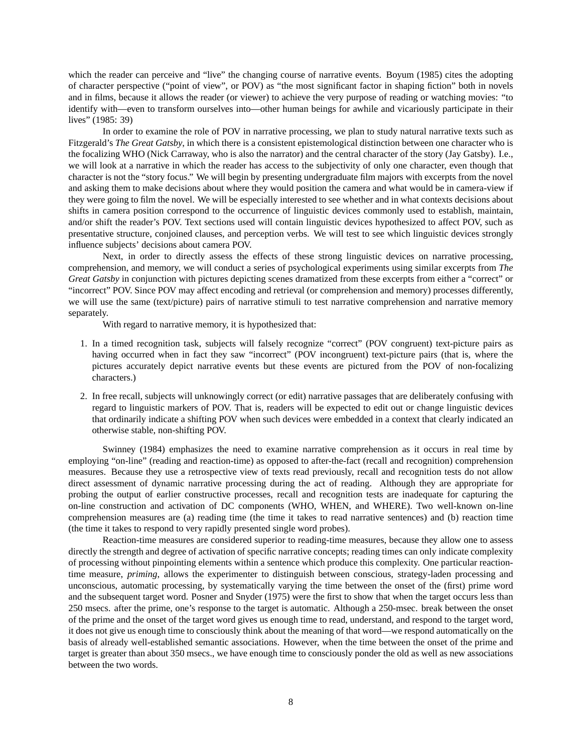which the reader can perceive and "live" the changing course of narrative events. Boyum (1985) cites the adopting of character perspective ("point of view", or POV) as "the most significant factor in shaping fiction" both in novels and in films, because it allows the reader (or viewer) to achieve the very purpose of reading or watching movies: "to identify with—even to transform ourselves into—other human beings for awhile and vicariously participate in their lives" (1985: 39)

In order to examine the role of POV in narrative processing, we plan to study natural narrative texts such as Fitzgerald's *The Great Gatsby*, in which there is a consistent epistemological distinction between one character who is the focalizing WHO (Nick Carraway, who is also the narrator) and the central character of the story (Jay Gatsby). I.e., we will look at a narrative in which the reader has access to the subjectivity of only one character, even though that character is not the "story focus." We will begin by presenting undergraduate film majors with excerpts from the novel and asking them to make decisions about where they would position the camera and what would be in camera-view if they were going to film the novel. We will be especially interested to see whether and in what contexts decisions about shifts in camera position correspond to the occurrence of linguistic devices commonly used to establish, maintain, and/or shift the reader's POV. Text sections used will contain linguistic devices hypothesized to affect POV, such as presentative structure, conjoined clauses, and perception verbs. We will test to see which linguistic devices strongly influence subjects' decisions about camera POV.

Next, in order to directly assess the effects of these strong linguistic devices on narrative processing, comprehension, and memory, we will conduct a series of psychological experiments using similar excerpts from *The Great Gatsby* in conjunction with pictures depicting scenes dramatized from these excerpts from either a "correct" or "incorrect" POV. Since POV may affect encoding and retrieval (or comprehension and memory) processes differently, we will use the same (text/picture) pairs of narrative stimuli to test narrative comprehension and narrative memory separately.

With regard to narrative memory, it is hypothesized that:

- 1. In a timed recognition task, subjects will falsely recognize "correct" (POV congruent) text-picture pairs as having occurred when in fact they saw "incorrect" (POV incongruent) text-picture pairs (that is, where the pictures accurately depict narrative events but these events are pictured from the POV of non-focalizing characters.)
- 2. In free recall, subjects will unknowingly correct (or edit) narrative passages that are deliberately confusing with regard to linguistic markers of POV. That is, readers will be expected to edit out or change linguistic devices that ordinarily indicate a shifting POV when such devices were embedded in a context that clearly indicated an otherwise stable, non-shifting POV.

Swinney (1984) emphasizes the need to examine narrative comprehension as it occurs in real time by employing "on-line" (reading and reaction-time) as opposed to after-the-fact (recall and recognition) comprehension measures. Because they use a retrospective view of texts read previously, recall and recognition tests do not allow direct assessment of dynamic narrative processing during the act of reading. Although they are appropriate for probing the output of earlier constructive processes, recall and recognition tests are inadequate for capturing the on-line construction and activation of DC components (WHO, WHEN, and WHERE). Two well-known on-line comprehension measures are (a) reading time (the time it takes to read narrative sentences) and (b) reaction time (the time it takes to respond to very rapidly presented single word probes).

Reaction-time measures are considered superior to reading-time measures, because they allow one to assess directly the strength and degree of activation of specific narrative concepts; reading times can only indicate complexity of processing without pinpointing elements within a sentence which produce this complexity. One particular reactiontime measure, *priming*, allows the experimenter to distinguish between conscious, strategy-laden processing and unconscious, automatic processing, by systematically varying the time between the onset of the (first) prime word and the subsequent target word. Posner and Snyder (1975) were the first to show that when the target occurs less than 250 msecs. after the prime, one's response to the target is automatic. Although a 250-msec. break between the onset of the prime and the onset of the target word gives us enough time to read, understand, and respond to the target word, it does not give us enough time to consciously think about the meaning of that word—we respond automatically on the basis of already well-established semantic associations. However, when the time between the onset of the prime and target is greater than about 350 msecs., we have enough time to consciously ponder the old as well as new associations between the two words.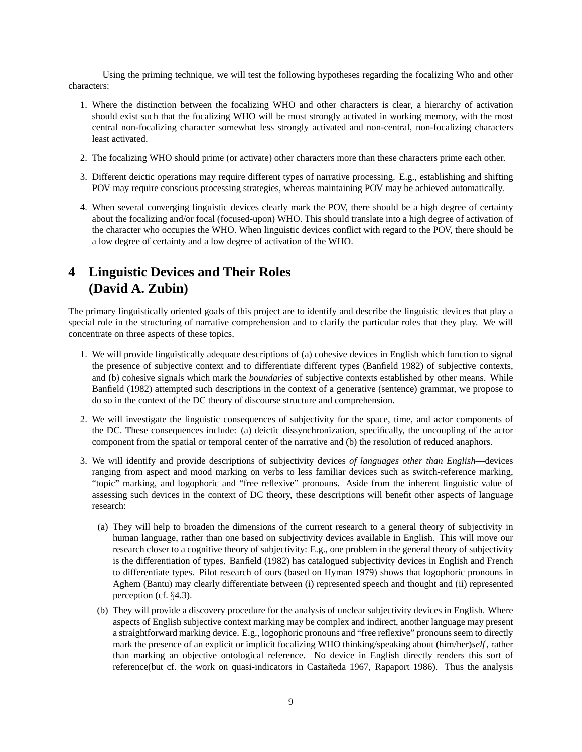Using the priming technique, we will test the following hypotheses regarding the focalizing Who and other characters:

- 1. Where the distinction between the focalizing WHO and other characters is clear, a hierarchy of activation should exist such that the focalizing WHO will be most strongly activated in working memory, with the most central non-focalizing character somewhat less strongly activated and non-central, non-focalizing characters least activated.
- 2. The focalizing WHO should prime (or activate) other characters more than these characters prime each other.
- 3. Different deictic operations may require different types of narrative processing. E.g., establishing and shifting POV may require conscious processing strategies, whereas maintaining POV may be achieved automatically.
- 4. When several converging linguistic devices clearly mark the POV, there should be a high degree of certainty about the focalizing and/or focal (focused-upon) WHO. This should translate into a high degree of activation of the character who occupies the WHO. When linguistic devices conflict with regard to the POV, there should be a low degree of certainty and a low degree of activation of the WHO.

# **4 Linguistic Devices and Their Roles (David A. Zubin)**

The primary linguistically oriented goals of this project are to identify and describe the linguistic devices that play a special role in the structuring of narrative comprehension and to clarify the particular roles that they play. We will concentrate on three aspects of these topics.

- 1. We will provide linguistically adequate descriptions of (a) cohesive devices in English which function to signal the presence of subjective context and to differentiate different types (Banfield 1982) of subjective contexts, and (b) cohesive signals which mark the *boundaries* of subjective contexts established by other means. While Banfield (1982) attempted such descriptions in the context of a generative (sentence) grammar, we propose to do so in the context of the DC theory of discourse structure and comprehension.
- 2. We will investigate the linguistic consequences of subjectivity for the space, time, and actor components of the DC. These consequences include: (a) deictic dissynchronization, specifically, the uncoupling of the actor component from the spatial or temporal center of the narrative and (b) the resolution of reduced anaphors.
- 3. We will identify and provide descriptions of subjectivity devices *of languages other than English*—devices ranging from aspect and mood marking on verbs to less familiar devices such as switch-reference marking, "topic" marking, and logophoric and "free reflexive" pronouns. Aside from the inherent linguistic value of assessing such devices in the context of DC theory, these descriptions will benefit other aspects of language research:
	- (a) They will help to broaden the dimensions of the current research to a general theory of subjectivity in human language, rather than one based on subjectivity devices available in English. This will move our research closer to a cognitive theory of subjectivity: E.g., one problem in the general theory of subjectivity is the differentiation of types. Banfield (1982) has catalogued subjectivity devices in English and French to differentiate types. Pilot research of ours (based on Hyman 1979) shows that logophoric pronouns in Aghem (Bantu) may clearly differentiate between (i) represented speech and thought and (ii) represented perception (cf. §4.3).
	- (b) They will provide a discovery procedure for the analysis of unclear subjectivity devices in English. Where aspects of English subjective context marking may be complex and indirect, another language may present a straightforward marking device. E.g., logophoric pronouns and "free reflexive" pronouns seem to directly mark the presence of an explicit or implicit focalizing WHO thinking/speaking about (him/her)*self* , rather than marking an objective ontological reference. No device in English directly renders this sort of reference(but cf. the work on quasi-indicators in Castañeda 1967, Rapaport 1986). Thus the analysis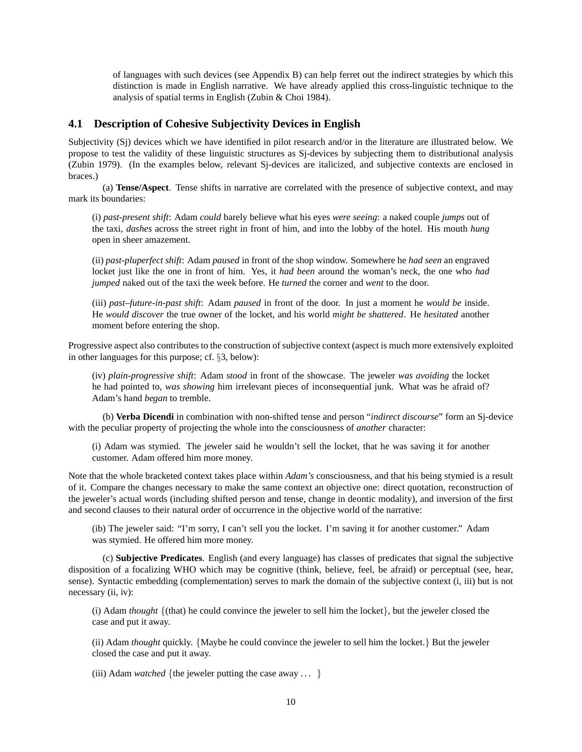of languages with such devices (see Appendix B) can help ferret out the indirect strategies by which this distinction is made in English narrative. We have already applied this cross-linguistic technique to the analysis of spatial terms in English (Zubin & Choi 1984).

## **4.1 Description of Cohesive Subjectivity Devices in English**

Subjectivity (Sj) devices which we have identified in pilot research and/or in the literature are illustrated below. We propose to test the validity of these linguistic structures as Sj-devices by subjecting them to distributional analysis (Zubin 1979). (In the examples below, relevant Sj-devices are italicized, and subjective contexts are enclosed in braces.)

(a) **Tense/Aspect**. Tense shifts in narrative are correlated with the presence of subjective context, and may mark its boundaries:

(i) *past-present shift*: Adam *could* barely believe what his eyes *were seeing*: a naked couple *jumps* out of the taxi, *dashes* across the street right in front of him, and into the lobby of the hotel. His mouth *hung* open in sheer amazement.

(ii) *past-pluperfect shift*: Adam *paused* in front of the shop window. Somewhere he *had seen* an engraved locket just like the one in front of him. Yes, it *had been* around the woman's neck, the one who *had jumped* naked out of the taxi the week before. He *turned* the corner and *went* to the door.

(iii) *past–future-in-past shift*: Adam *paused* in front of the door. In just a moment he *would be* inside. He *would discover* the true owner of the locket, and his world *might be shattered*. He *hesitated* another moment before entering the shop.

Progressive aspect also contributes to the construction of subjective context (aspect is much more extensively exploited in other languages for this purpose; cf. §3, below):

(iv) *plain-progressive shift*: Adam *stood* in front of the showcase. The jeweler *was avoiding* the locket he had pointed to, *was showing* him irrelevant pieces of inconsequential junk. What was he afraid of? Adam's hand *began* to tremble.

(b) **Verba Dicendi** in combination with non-shifted tense and person "*indirect discourse*" form an Sj-device with the peculiar property of projecting the whole into the consciousness of *another* character:

(i) Adam was stymied. The jeweler said he wouldn't sell the locket, that he was saving it for another customer. Adam offered him more money.

Note that the whole bracketed context takes place within *Adam's* consciousness, and that his being stymied is a result of it. Compare the changes necessary to make the same context an objective one: direct quotation, reconstruction of the jeweler's actual words (including shifted person and tense, change in deontic modality), and inversion of the first and second clauses to their natural order of occurrence in the objective world of the narrative:

(ib) The jeweler said: "I'm sorry, I can't sell you the locket. I'm saving it for another customer." Adam was stymied. He offered him more money.

(c) **Subjective Predicates**. English (and every language) has classes of predicates that signal the subjective disposition of a focalizing WHO which may be cognitive (think, believe, feel, be afraid) or perceptual (see, hear, sense). Syntactic embedding (complementation) serves to mark the domain of the subjective context (i, iii) but is not necessary (ii, iv):

(i) Adam *thought* {(that) he could convince the jeweler to sell him the locket}, but the jeweler closed the case and put it away.

(ii) Adam *thought* quickly. {Maybe he could convince the jeweler to sell him the locket.} But the jeweler closed the case and put it away.

(iii) Adam *watched* {the jeweler putting the case away ... }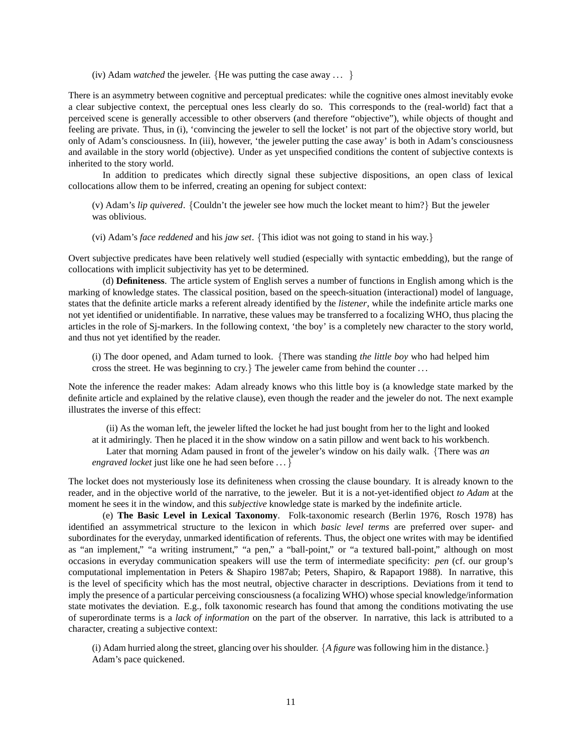(iv) Adam *watched* the jeweler. {He was putting the case away ... }

There is an asymmetry between cognitive and perceptual predicates: while the cognitive ones almost inevitably evoke a clear subjective context, the perceptual ones less clearly do so. This corresponds to the (real-world) fact that a perceived scene is generally accessible to other observers (and therefore "objective"), while objects of thought and feeling are private. Thus, in (i), 'convincing the jeweler to sell the locket' is not part of the objective story world, but only of Adam's consciousness. In (iii), however, 'the jeweler putting the case away' is both in Adam's consciousness and available in the story world (objective). Under as yet unspecified conditions the content of subjective contexts is inherited to the story world.

In addition to predicates which directly signal these subjective dispositions, an open class of lexical collocations allow them to be inferred, creating an opening for subject context:

(v) Adam's *lip quivered*. {Couldn't the jeweler see how much the locket meant to him?} But the jeweler was oblivious.

(vi) Adam's *face reddened* and his *jaw set*. {This idiot was not going to stand in his way.}

Overt subjective predicates have been relatively well studied (especially with syntactic embedding), but the range of collocations with implicit subjectivity has yet to be determined.

(d) **Definiteness**. The article system of English serves a number of functions in English among which is the marking of knowledge states. The classical position, based on the speech-situation (interactional) model of language, states that the definite article marks a referent already identified by the *listener*, while the indefinite article marks one not yet identified or unidentifiable. In narrative, these values may be transferred to a focalizing WHO, thus placing the articles in the role of Sj-markers. In the following context, 'the boy' is a completely new character to the story world, and thus not yet identified by the reader.

(i) The door opened, and Adam turned to look. {There was standing *the little boy* who had helped him cross the street. He was beginning to cry.  $\}$  The jeweler came from behind the counter ...

Note the inference the reader makes: Adam already knows who this little boy is (a knowledge state marked by the definite article and explained by the relative clause), even though the reader and the jeweler do not. The next example illustrates the inverse of this effect:

(ii) As the woman left, the jeweler lifted the locket he had just bought from her to the light and looked at it admiringly. Then he placed it in the show window on a satin pillow and went back to his workbench. Later that morning Adam paused in front of the jeweler's window on his daily walk. {There was *an engraved locket* just like one he had seen before  $\ldots$ 

The locket does not mysteriously lose its definiteness when crossing the clause boundary. It is already known to the reader, and in the objective world of the narrative, to the jeweler. But it is a not-yet-identified object *to Adam* at the moment he sees it in the window, and this *subjective* knowledge state is marked by the indefinite article.

(e) **The Basic Level in Lexical Taxonomy**. Folk-taxonomic research (Berlin 1976, Rosch 1978) has identified an assymmetrical structure to the lexicon in which *basic level terms* are preferred over super- and subordinates for the everyday, unmarked identification of referents. Thus, the object one writes with may be identified as "an implement," "a writing instrument," "a pen," a "ball-point," or "a textured ball-point," although on most occasions in everyday communication speakers will use the term of intermediate specificity: *pen* (cf. our group's computational implementation in Peters & Shapiro 1987ab; Peters, Shapiro, & Rapaport 1988). In narrative, this is the level of specificity which has the most neutral, objective character in descriptions. Deviations from it tend to imply the presence of a particular perceiving consciousness (a focalizing WHO) whose special knowledge/information state motivates the deviation. E.g., folk taxonomic research has found that among the conditions motivating the use of superordinate terms is a *lack of information* on the part of the observer. In narrative, this lack is attributed to a character, creating a subjective context:

(i) Adam hurried along the street, glancing over his shoulder. {*A figure* was following him in the distance.} Adam's pace quickened.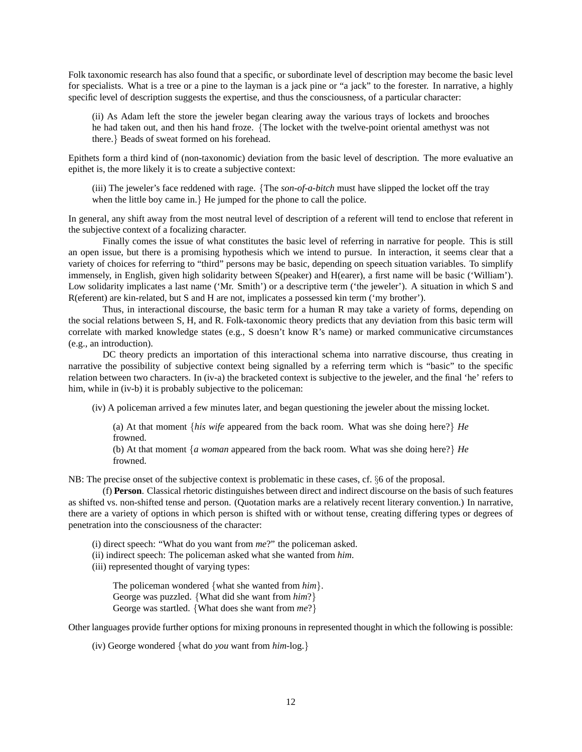Folk taxonomic research has also found that a specific, or subordinate level of description may become the basic level for specialists. What is a tree or a pine to the layman is a jack pine or "a jack" to the forester. In narrative, a highly specific level of description suggests the expertise, and thus the consciousness, of a particular character:

(ii) As Adam left the store the jeweler began clearing away the various trays of lockets and brooches he had taken out, and then his hand froze. {The locket with the twelve-point oriental amethyst was not there.} Beads of sweat formed on his forehead.

Epithets form a third kind of (non-taxonomic) deviation from the basic level of description. The more evaluative an epithet is, the more likely it is to create a subjective context:

(iii) The jeweler's face reddened with rage. {The *son-of-a-bitch* must have slipped the locket off the tray when the little boy came in.} He jumped for the phone to call the police.

In general, any shift away from the most neutral level of description of a referent will tend to enclose that referent in the subjective context of a focalizing character.

Finally comes the issue of what constitutes the basic level of referring in narrative for people. This is still an open issue, but there is a promising hypothesis which we intend to pursue. In interaction, it seems clear that a variety of choices for referring to "third" persons may be basic, depending on speech situation variables. To simplify immensely, in English, given high solidarity between S(peaker) and H(earer), a first name will be basic ('William'). Low solidarity implicates a last name ('Mr. Smith') or a descriptive term ('the jeweler'). A situation in which S and R(eferent) are kin-related, but S and H are not, implicates a possessed kin term ('my brother').

Thus, in interactional discourse, the basic term for a human R may take a variety of forms, depending on the social relations between S, H, and R. Folk-taxonomic theory predicts that any deviation from this basic term will correlate with marked knowledge states (e.g., S doesn't know R's name) or marked communicative circumstances (e.g., an introduction).

DC theory predicts an importation of this interactional schema into narrative discourse, thus creating in narrative the possibility of subjective context being signalled by a referring term which is "basic" to the specific relation between two characters. In (iv-a) the bracketed context is subjective to the jeweler, and the final 'he' refers to him, while in (iv-b) it is probably subjective to the policeman:

(iv) A policeman arrived a few minutes later, and began questioning the jeweler about the missing locket.

(a) At that moment {*his wife* appeared from the back room. What was she doing here?} *He* frowned.

(b) At that moment {*a woman* appeared from the back room. What was she doing here?} *He* frowned.

NB: The precise onset of the subjective context is problematic in these cases, cf. §6 of the proposal.

(f) **Person**. Classical rhetoric distinguishes between direct and indirect discourse on the basis of such features as shifted vs. non-shifted tense and person. (Quotation marks are a relatively recent literary convention.) In narrative, there are a variety of options in which person is shifted with or without tense, creating differing types or degrees of penetration into the consciousness of the character:

(i) direct speech: "What do you want from *me*?" the policeman asked.

(ii) indirect speech: The policeman asked what she wanted from *him*.

(iii) represented thought of varying types:

The policeman wondered {what she wanted from *him*}. George was puzzled. {What did she want from *him*?} George was startled. {What does she want from *me*?}

Other languages provide further options for mixing pronouns in represented thought in which the following is possible:

(iv) George wondered {what do *you* want from *him*-log.}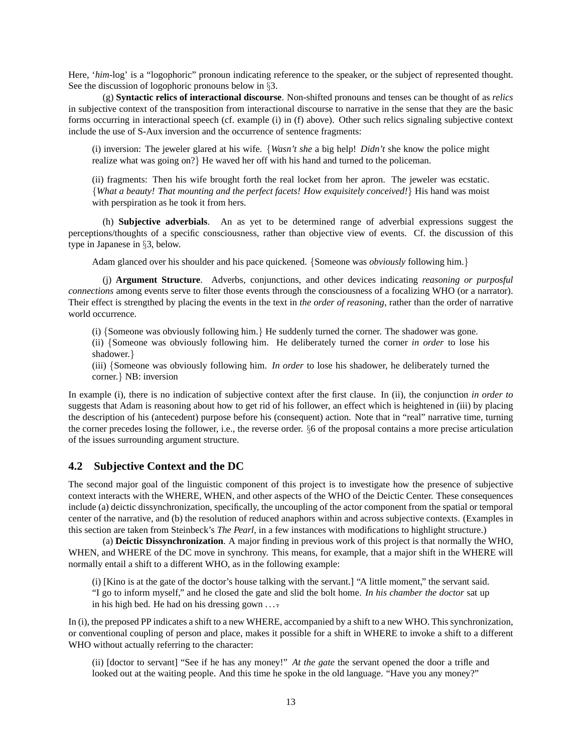Here, '*him*-log' is a "logophoric" pronoun indicating reference to the speaker, or the subject of represented thought. See the discussion of logophoric pronouns below in §3.

(g) **Syntactic relics of interactional discourse**. Non-shifted pronouns and tenses can be thought of as *relics* in subjective context of the transposition from interactional discourse to narrative in the sense that they are the basic forms occurring in interactional speech (cf. example (i) in (f) above). Other such relics signaling subjective context include the use of S-Aux inversion and the occurrence of sentence fragments:

(i) inversion: The jeweler glared at his wife. {*Wasn't she* a big help! *Didn't* she know the police might realize what was going on?} He waved her off with his hand and turned to the policeman.

(ii) fragments: Then his wife brought forth the real locket from her apron. The jeweler was ecstatic. {*What a beauty! That mounting and the perfect facets! How exquisitely conceived!*} His hand was moist with perspiration as he took it from hers.

(h) **Subjective adverbials**. An as yet to be determined range of adverbial expressions suggest the perceptions/thoughts of a specific consciousness, rather than objective view of events. Cf. the discussion of this type in Japanese in §3, below.

Adam glanced over his shoulder and his pace quickened. {Someone was *obviously* following him.}

(j) **Argument Structure**. Adverbs, conjunctions, and other devices indicating *reasoning or purposful connections* among events serve to filter those events through the consciousness of a focalizing WHO (or a narrator). Their effect is strengthed by placing the events in the text in *the order of reasoning*, rather than the order of narrative world occurrence.

(i) {Someone was obviously following him.} He suddenly turned the corner. The shadower was gone.

(ii) {Someone was obviously following him. He deliberately turned the corner *in order* to lose his shadower.}

(iii) {Someone was obviously following him. *In order* to lose his shadower, he deliberately turned the corner.} NB: inversion

In example (i), there is no indication of subjective context after the first clause. In (ii), the conjunction *in order to* suggests that Adam is reasoning about how to get rid of his follower, an effect which is heightened in (iii) by placing the description of his (antecedent) purpose before his (consequent) action. Note that in "real" narrative time, turning the corner precedes losing the follower, i.e., the reverse order. §6 of the proposal contains a more precise articulation of the issues surrounding argument structure.

## **4.2 Subjective Context and the DC**

The second major goal of the linguistic component of this project is to investigate how the presence of subjective context interacts with the WHERE, WHEN, and other aspects of the WHO of the Deictic Center. These consequences include (a) deictic dissynchronization, specifically, the uncoupling of the actor component from the spatial or temporal center of the narrative, and (b) the resolution of reduced anaphors within and across subjective contexts. (Examples in this section are taken from Steinbeck's *The Pearl*, in a few instances with modifications to highlight structure.)

(a) **Deictic Dissynchronization**. A major finding in previous work of this project is that normally the WHO, WHEN, and WHERE of the DC move in synchrony. This means, for example, that a major shift in the WHERE will normally entail a shift to a different WHO, as in the following example:

(i) [Kino is at the gate of the doctor's house talking with the servant.] "A little moment," the servant said. "I go to inform myself," and he closed the gate and slid the bolt home. *In his chamber the doctor* sat up in his high bed. He had on his dressing gown  $\ldots$ .

In (i), the preposed PP indicates a shift to a new WHERE, accompanied by a shift to a new WHO. This synchronization, or conventional coupling of person and place, makes it possible for a shift in WHERE to invoke a shift to a different WHO without actually referring to the character:

(ii) [doctor to servant] "See if he has any money!" *At the gate* the servant opened the door a trifle and looked out at the waiting people. And this time he spoke in the old language. "Have you any money?"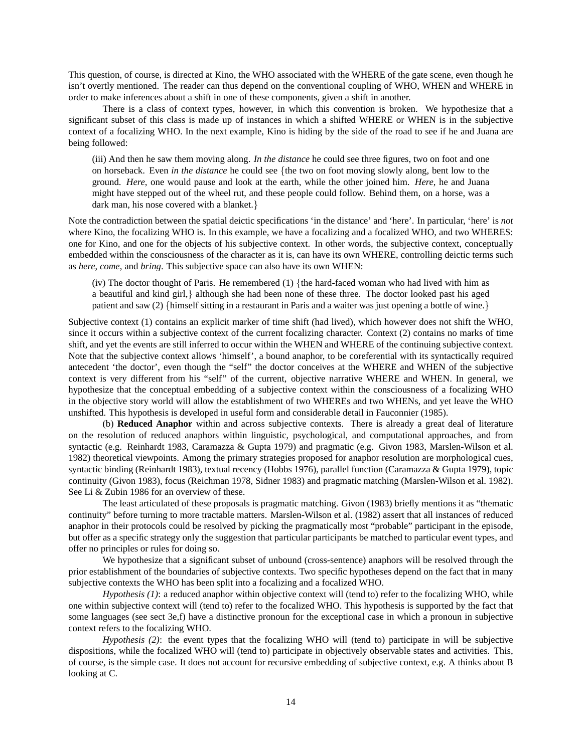This question, of course, is directed at Kino, the WHO associated with the WHERE of the gate scene, even though he isn't overtly mentioned. The reader can thus depend on the conventional coupling of WHO, WHEN and WHERE in order to make inferences about a shift in one of these components, given a shift in another.

There is a class of context types, however, in which this convention is broken. We hypothesize that a significant subset of this class is made up of instances in which a shifted WHERE or WHEN is in the subjective context of a focalizing WHO. In the next example, Kino is hiding by the side of the road to see if he and Juana are being followed:

(iii) And then he saw them moving along. *In the distance* he could see three figures, two on foot and one on horseback. Even *in the distance* he could see {the two on foot moving slowly along, bent low to the ground. *Here*, one would pause and look at the earth, while the other joined him. *Here*, he and Juana might have stepped out of the wheel rut, and these people could follow. Behind them, on a horse, was a dark man, his nose covered with a blanket.}

Note the contradiction between the spatial deictic specifications 'in the distance' and 'here'. In particular, 'here' is *not* where Kino, the focalizing WHO is. In this example, we have a focalizing and a focalized WHO, and two WHERES: one for Kino, and one for the objects of his subjective context. In other words, the subjective context, conceptually embedded within the consciousness of the character as it is, can have its own WHERE, controlling deictic terms such as *here*, *come*, and *bring*. This subjective space can also have its own WHEN:

(iv) The doctor thought of Paris. He remembered  $(1)$  {the hard-faced woman who had lived with him as a beautiful and kind girl,} although she had been none of these three. The doctor looked past his aged patient and saw (2) {himself sitting in a restaurant in Paris and a waiter was just opening a bottle of wine.}

Subjective context (1) contains an explicit marker of time shift (had lived), which however does not shift the WHO, since it occurs within a subjective context of the current focalizing character. Context (2) contains no marks of time shift, and yet the events are still inferred to occur within the WHEN and WHERE of the continuing subjective context. Note that the subjective context allows 'himself', a bound anaphor, to be coreferential with its syntactically required antecedent 'the doctor', even though the "self" the doctor conceives at the WHERE and WHEN of the subjective context is very different from his "self" of the current, objective narrative WHERE and WHEN. In general, we hypothesize that the conceptual embedding of a subjective context within the consciousness of a focalizing WHO in the objective story world will allow the establishment of two WHEREs and two WHENs, and yet leave the WHO unshifted. This hypothesis is developed in useful form and considerable detail in Fauconnier (1985).

(b) **Reduced Anaphor** within and across subjective contexts. There is already a great deal of literature on the resolution of reduced anaphors within linguistic, psychological, and computational approaches, and from syntactic (e.g. Reinhardt 1983, Caramazza & Gupta 1979) and pragmatic (e.g. Givon 1983, Marslen-Wilson et al. 1982) theoretical viewpoints. Among the primary strategies proposed for anaphor resolution are morphological cues, syntactic binding (Reinhardt 1983), textual recency (Hobbs 1976), parallel function (Caramazza & Gupta 1979), topic continuity (Givon 1983), focus (Reichman 1978, Sidner 1983) and pragmatic matching (Marslen-Wilson et al. 1982). See Li & Zubin 1986 for an overview of these.

The least articulated of these proposals is pragmatic matching. Givon (1983) briefly mentions it as "thematic continuity" before turning to more tractable matters. Marslen-Wilson et al. (1982) assert that all instances of reduced anaphor in their protocols could be resolved by picking the pragmatically most "probable" participant in the episode, but offer as a specific strategy only the suggestion that particular participants be matched to particular event types, and offer no principles or rules for doing so.

We hypothesize that a significant subset of unbound (cross-sentence) anaphors will be resolved through the prior establishment of the boundaries of subjective contexts. Two specific hypotheses depend on the fact that in many subjective contexts the WHO has been split into a focalizing and a focalized WHO.

*Hypothesis (1)*: a reduced anaphor within objective context will (tend to) refer to the focalizing WHO, while one within subjective context will (tend to) refer to the focalized WHO. This hypothesis is supported by the fact that some languages (see sect 3e,f) have a distinctive pronoun for the exceptional case in which a pronoun in subjective context refers to the focalizing WHO.

*Hypothesis (2)*: the event types that the focalizing WHO will (tend to) participate in will be subjective dispositions, while the focalized WHO will (tend to) participate in objectively observable states and activities. This, of course, is the simple case. It does not account for recursive embedding of subjective context, e.g. A thinks about B looking at C.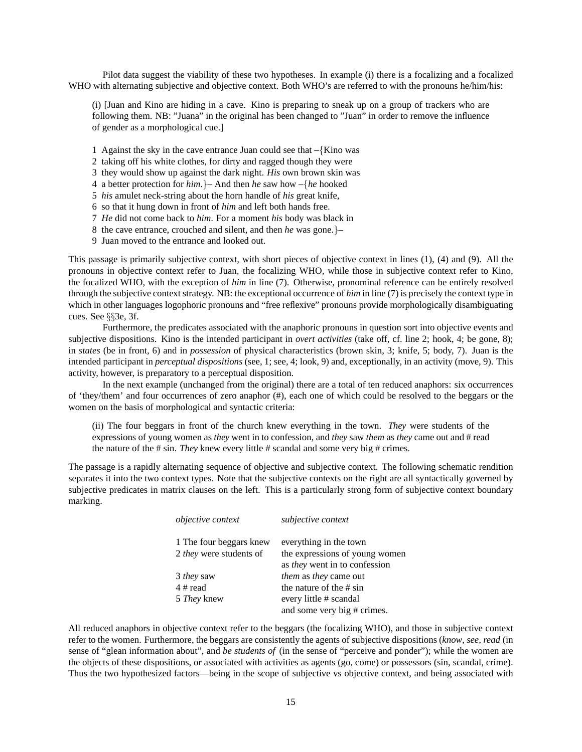Pilot data suggest the viability of these two hypotheses. In example (i) there is a focalizing and a focalized WHO with alternating subjective and objective context. Both WHO's are referred to with the pronouns he/him/his:

(i) [Juan and Kino are hiding in a cave. Kino is preparing to sneak up on a group of trackers who are following them. NB: "Juana" in the original has been changed to "Juan" in order to remove the influence of gender as a morphological cue.]

- 1 Against the sky in the cave entrance Juan could see that –{Kino was
- 2 taking off his white clothes, for dirty and ragged though they were
- 3 they would show up against the dark night. *His* own brown skin was
- 4 a better protection for *him*.}– And then *he* saw how –{*he* hooked
- 5 *his* amulet neck-string about the horn handle of *his* great knife,
- 6 so that it hung down in front of *him* and left both hands free.
- 7 *He* did not come back to *him*. For a moment *his* body was black in
- 8 the cave entrance, crouched and silent, and then *he* was gone.}–
- 9 Juan moved to the entrance and looked out.

This passage is primarily subjective context, with short pieces of objective context in lines (1), (4) and (9). All the pronouns in objective context refer to Juan, the focalizing WHO, while those in subjective context refer to Kino, the focalized WHO, with the exception of *him* in line (7). Otherwise, pronominal reference can be entirely resolved through the subjective context strategy. NB: the exceptional occurrence of *him* in line (7) is precisely the context type in which in other languages logophoric pronouns and "free reflexive" pronouns provide morphologically disambiguating cues. See §§3e, 3f.

Furthermore, the predicates associated with the anaphoric pronouns in question sort into objective events and subjective dispositions. Kino is the intended participant in *overt activities* (take off, cf. line 2; hook, 4; be gone, 8); in *states* (be in front, 6) and in *possession* of physical characteristics (brown skin, 3; knife, 5; body, 7). Juan is the intended participant in *perceptual dispositions* (see, 1; see, 4; look, 9) and, exceptionally, in an activity (move, 9). This activity, however, is preparatory to a perceptual disposition.

In the next example (unchanged from the original) there are a total of ten reduced anaphors: six occurrences of 'they/them' and four occurrences of zero anaphor (#), each one of which could be resolved to the beggars or the women on the basis of morphological and syntactic criteria:

(ii) The four beggars in front of the church knew everything in the town. *They* were students of the expressions of young women as *they* went in to confession, and *they* saw *them* as *they* came out and # read the nature of the # sin. *They* knew every little # scandal and some very big # crimes.

The passage is a rapidly alternating sequence of objective and subjective context. The following schematic rendition separates it into the two context types. Note that the subjective contexts on the right are all syntactically governed by subjective predicates in matrix clauses on the left. This is a particularly strong form of subjective context boundary marking.

| <i>objective context</i>       | subjective context                                              |
|--------------------------------|-----------------------------------------------------------------|
| 1 The four beggars knew        | everything in the town                                          |
| 2 <i>they</i> were students of | the expressions of young women<br>as they went in to confession |
| 3 <i>they</i> saw              | <i>them</i> as <i>they</i> came out                             |
| 4 # read                       | the nature of the # sin                                         |
| 5 <i>They</i> knew             | every little # scandal                                          |
|                                | and some very big # crimes.                                     |

All reduced anaphors in objective context refer to the beggars (the focalizing WHO), and those in subjective context refer to the women. Furthermore, the beggars are consistently the agents of subjective dispositions (*know*, *see*, *read* (in sense of "glean information about", and *be students of* (in the sense of "perceive and ponder"); while the women are the objects of these dispositions, or associated with activities as agents (go, come) or possessors (sin, scandal, crime). Thus the two hypothesized factors—being in the scope of subjective vs objective context, and being associated with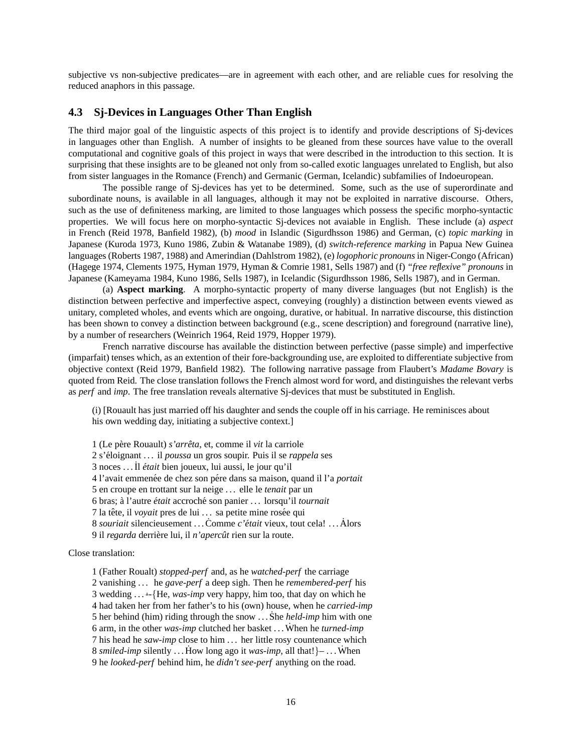subjective vs non-subjective predicates—are in agreement with each other, and are reliable cues for resolving the reduced anaphors in this passage.

## **4.3 Sj-Devices in Languages Other Than English**

The third major goal of the linguistic aspects of this project is to identify and provide descriptions of Sj-devices in languages other than English. A number of insights to be gleaned from these sources have value to the overall computational and cognitive goals of this project in ways that were described in the introduction to this section. It is surprising that these insights are to be gleaned not only from so-called exotic languages unrelated to English, but also from sister languages in the Romance (French) and Germanic (German, Icelandic) subfamilies of Indoeuropean.

The possible range of Sj-devices has yet to be determined. Some, such as the use of superordinate and subordinate nouns, is available in all languages, although it may not be exploited in narrative discourse. Others, such as the use of definiteness marking, are limited to those languages which possess the specific morpho-syntactic properties. We will focus here on morpho-syntactic Sj-devices not avaiable in English. These include (a) *aspect* in French (Reid 1978, Banfield 1982), (b) *mood* in Islandic (Sigurdhsson 1986) and German, (c) *topic marking* in Japanese (Kuroda 1973, Kuno 1986, Zubin & Watanabe 1989), (d) *switch-reference marking* in Papua New Guinea languages (Roberts 1987, 1988) and Amerindian (Dahlstrom 1982), (e) *logophoric pronouns* in Niger-Congo (African) (Hagege 1974, Clements 1975, Hyman 1979, Hyman & Comrie 1981, Sells 1987) and (f) *"free reflexive" pronouns* in Japanese (Kameyama 1984, Kuno 1986, Sells 1987), in Icelandic (Sigurdhsson 1986, Sells 1987), and in German.

(a) **Aspect marking**. A morpho-syntactic property of many diverse languages (but not English) is the distinction between perfective and imperfective aspect, conveying (roughly) a distinction between events viewed as unitary, completed wholes, and events which are ongoing, durative, or habitual. In narrative discourse, this distinction has been shown to convey a distinction between background (e.g., scene description) and foreground (narrative line), by a number of researchers (Weinrich 1964, Reid 1979, Hopper 1979).

French narrative discourse has available the distinction between perfective (passe simple) and imperfective (imparfait) tenses which, as an extention of their fore-backgrounding use, are exploited to differentiate subjective from objective context (Reid 1979, Banfield 1982). The following narrative passage from Flaubert's *Madame Bovary* is quoted from Reid. The close translation follows the French almost word for word, and distinguishes the relevant verbs as *perf* and *imp*. The free translation reveals alternative Sj-devices that must be substituted in English.

(i) [Rouault has just married off his daughter and sends the couple off in his carriage. He reminisces about his own wedding day, initiating a subjective context.

1 (Le pere Rouault) ` *s'arreta ˆ* , et, comme il *vit* la carriole 2 s'eloignant . . . il ´ *poussa* un gros soupir. Puis il se *rappela* ses 3 noces . . .˙Il *etait ´* bien joueux, lui aussi, le jour qu'il 4 l'avait emmenée de chez son pére dans sa maison, quand il l'a *portait* 5 en croupe en trottant sur la neige . . . elle le *tenait* par un 6 bras; a l'autre ` *etait ´* accroche son panier . . . lorsqu'il ´ *tournait* 7 la tête, il *voyait* pres de lui ... sa petite mine rosée qui 8 *souriait* silencieusement . . . Comme *c'était* vieux, tout cela! . . . Alors 9 il *regarda* derrière lui, il *n'apercût* rien sur la route.

Close translation:

1 (Father Roualt) *stopped-perf* and, as he *watched-perf* the carriage 2 vanishing . . . he *gave-perf* a deep sigh. Then he *remembered-perf* his 3 wedding ... :-{He, *was-imp* very happy, him too, that day on which he 4 had taken her from her father's to his (own) house, when he *carried-imp* 5 her behind (him) riding through the snow ... She *held-imp* him with one 6 arm, in the other *was-imp* clutched her basket ... When he *turned-imp* 7 his head he *saw-imp* close to him . . . her little rosy countenance which 8 *smiled-imp* silently ... How long ago it *was-imp*, all that!} $-$ ... When 9 he *looked-perf* behind him, he *didn't see-perf* anything on the road.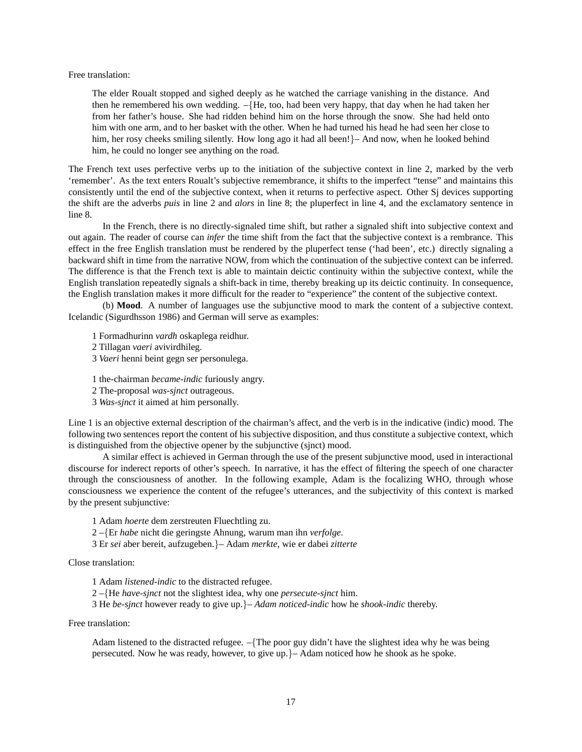#### Free translation:

The elder Roualt stopped and sighed deeply as he watched the carriage vanishing in the distance. And then he remembered his own wedding. –{He, too, had been very happy, that day when he had taken her from her father's house. She had ridden behind him on the horse through the snow. She had held onto him with one arm, and to her basket with the other. When he had turned his head he had seen her close to him, her rosy cheeks smiling silently. How long ago it had all been!}– And now, when he looked behind him, he could no longer see anything on the road.

The French text uses perfective verbs up to the initiation of the subjective context in line 2, marked by the verb 'remember'. As the text enters Roualt's subjective remembrance, it shifts to the imperfect "tense" and maintains this consistently until the end of the subjective context, when it returns to perfective aspect. Other Sj devices supporting the shift are the adverbs *puis* in line 2 and *alors* in line 8; the pluperfect in line 4, and the exclamatory sentence in line 8.

In the French, there is no directly-signaled time shift, but rather a signaled shift into subjective context and out again. The reader of course can *infer* the time shift from the fact that the subjective context is a rembrance. This effect in the free English translation must be rendered by the pluperfect tense ('had been', etc.) directly signaling a backward shift in time from the narrative NOW, from which the continuation of the subjective context can be inferred. The difference is that the French text is able to maintain deictic continuity within the subjective context, while the English translation repeatedly signals a shift-back in time, thereby breaking up its deictic continuity. In consequence, the English translation makes it more difficult for the reader to "experience" the content of the subjective context.

(b) **Mood**. A number of languages use the subjunctive mood to mark the content of a subjective context. Icelandic (Sigurdhsson 1986) and German will serve as examples:

- 1 Formadhurinn *vardh* oskaplega reidhur.
- 2 Tillagan *vaeri* avivirdhileg.
- 3 *Vaeri* henni beint gegn ser personulega.

1 the-chairman *became-indic* furiously angry.

2 The-proposal *was-sjnct* outrageous.

3 *Was-sjnct* it aimed at him personally.

Line 1 is an objective external description of the chairman's affect, and the verb is in the indicative (indic) mood. The following two sentences report the content of his subjective disposition, and thus constitute a subjective context, which is distinguished from the objective opener by the subjunctive (sjnct) mood.

A similar effect is achieved in German through the use of the present subjunctive mood, used in interactional discourse for inderect reports of other's speech. In narrative, it has the effect of filtering the speech of one character through the consciousness of another. In the following example, Adam is the focalizing WHO, through whose consciousness we experience the content of the refugee's utterances, and the subjectivity of this context is marked by the present subjunctive:

1 Adam *hoerte* dem zerstreuten Fluechtling zu.

2 –{Er *habe* nicht die geringste Ahnung, warum man ihn *verfolge*.

3 Er *sei* aber bereit, aufzugeben.}– Adam *merkte*, wie er dabei *zitterte*

### Close translation:

1 Adam *listened-indic* to the distracted refugee.

2 –{He *have-sjnct* not the slightest idea, why one *persecute-sjnct* him.

3 He *be-sjnct* however ready to give up.}– *Adam noticed-indic* how he *shook-indic* thereby.

#### Free translation:

Adam listened to the distracted refugee. –{The poor guy didn't have the slightest idea why he was being persecuted. Now he was ready, however, to give up.}– Adam noticed how he shook as he spoke.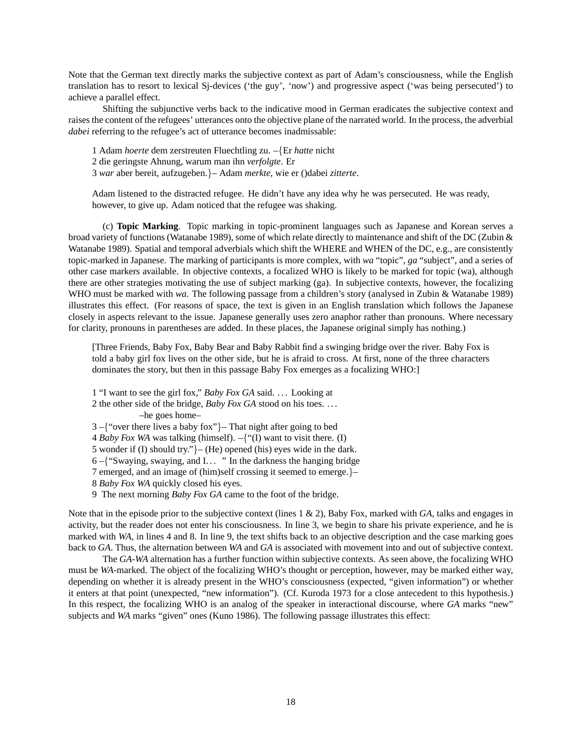Note that the German text directly marks the subjective context as part of Adam's consciousness, while the English translation has to resort to lexical Sj-devices ('the guy', 'now') and progressive aspect ('was being persecuted') to achieve a parallel effect.

Shifting the subjunctive verbs back to the indicative mood in German eradicates the subjective context and raises the content of the refugees' utterances onto the objective plane of the narrated world. In the process, the adverbial *dabei* referring to the refugee's act of utterance becomes inadmissable:

1 Adam *hoerte* dem zerstreuten Fluechtling zu. –{Er *hatte* nicht

2 die geringste Ahnung, warum man ihn *verfolgte*. Er

3 *war* aber bereit, aufzugeben.}– Adam *merkte*, wie er ()dabei *zitterte*.

Adam listened to the distracted refugee. He didn't have any idea why he was persecuted. He was ready, however, to give up. Adam noticed that the refugee was shaking.

(c) **Topic Marking**. Topic marking in topic-prominent languages such as Japanese and Korean serves a broad variety of functions (Watanabe 1989), some of which relate directly to maintenance and shift of the DC (Zubin & Watanabe 1989). Spatial and temporal adverbials which shift the WHERE and WHEN of the DC, e.g., are consistently topic-marked in Japanese. The marking of participants is more complex, with *wa* "topic", *ga* "subject", and a series of other case markers available. In objective contexts, a focalized WHO is likely to be marked for topic (wa), although there are other strategies motivating the use of subject marking (ga). In subjective contexts, however, the focalizing WHO must be marked with *wa*. The following passage from a children's story (analysed in Zubin & Watanabe 1989) illustrates this effect. (For reasons of space, the text is given in an English translation which follows the Japanese closely in aspects relevant to the issue. Japanese generally uses zero anaphor rather than pronouns. Where necessary for clarity, pronouns in parentheses are added. In these places, the Japanese original simply has nothing.)

[Three Friends, Baby Fox, Baby Bear and Baby Rabbit find a swinging bridge over the river. Baby Fox is told a baby girl fox lives on the other side, but he is afraid to cross. At first, none of the three characters dominates the story, but then in this passage Baby Fox emerges as a focalizing WHO:]

1 "I want to see the girl fox," *Baby Fox GA* said. . . . Looking at

2 the other side of the bridge, *Baby Fox GA* stood on his toes. . . . –he goes home–

3 –{"over there lives a baby fox"}– That night after going to bed

4 *Baby Fox WA* was talking (himself). –{"(I) want to visit there. (I)

5 wonder if (I) should try."}– (He) opened (his) eyes wide in the dark.

6 –{"Swaying, swaying, and I. . . " In the darkness the hanging bridge

7 emerged, and an image of (him)self crossing it seemed to emerge.}–

8 *Baby Fox WA* quickly closed his eyes.

9 The next morning *Baby Fox GA* came to the foot of the bridge.

Note that in the episode prior to the subjective context (lines 1 & 2), Baby Fox, marked with *GA*, talks and engages in activity, but the reader does not enter his consciousness. In line 3, we begin to share his private experience, and he is marked with *WA*, in lines 4 and 8. In line 9, the text shifts back to an objective description and the case marking goes back to *GA*. Thus, the alternation between *WA* and *GA* is associated with movement into and out of subjective context.

The *GA*-*WA* alternation has a further function within subjective contexts. As seen above, the focalizing WHO must be *WA*-marked. The object of the focalizing WHO's thought or perception, however, may be marked either way, depending on whether it is already present in the WHO's consciousness (expected, "given information") or whether it enters at that point (unexpected, "new information"). (Cf. Kuroda 1973 for a close antecedent to this hypothesis.) In this respect, the focalizing WHO is an analog of the speaker in interactional discourse, where *GA* marks "new" subjects and *WA* marks "given" ones (Kuno 1986). The following passage illustrates this effect: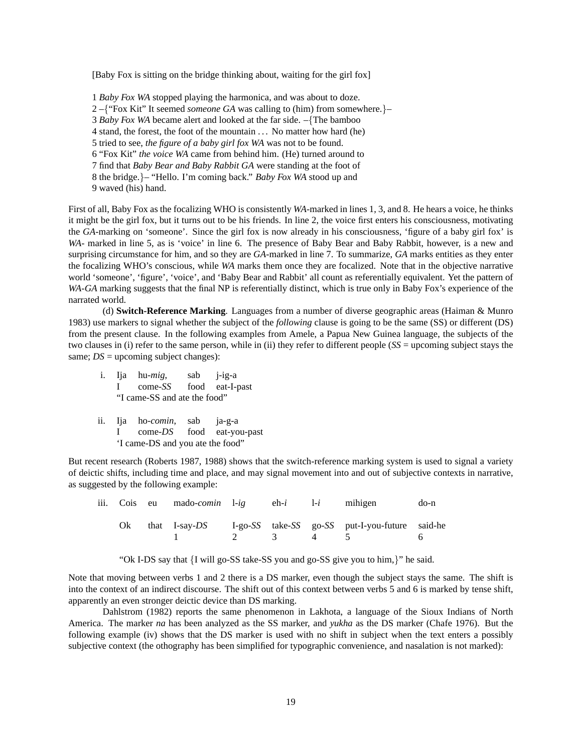[Baby Fox is sitting on the bridge thinking about, waiting for the girl fox]

1 *Baby Fox WA* stopped playing the harmonica, and was about to doze. 2 –{"Fox Kit" It seemed *someone GA* was calling to (him) from somewhere.}– 3 *Baby Fox WA* became alert and looked at the far side. –{The bamboo 4 stand, the forest, the foot of the mountain . . . No matter how hard (he) 5 tried to see, *the figure of a baby girl fox WA* was not to be found. 6 "Fox Kit" *the voice WA* came from behind him. (He) turned around to 7 find that *Baby Bear and Baby Rabbit GA* were standing at the foot of 8 the bridge.}– "Hello. I'm coming back." *Baby Fox WA* stood up and 9 waved (his) hand.

First of all, Baby Fox as the focalizing WHO is consistently *WA*-marked in lines 1, 3, and 8. He hears a voice, he thinks it might be the girl fox, but it turns out to be his friends. In line 2, the voice first enters his consciousness, motivating the *GA*-marking on 'someone'. Since the girl fox is now already in his consciousness, 'figure of a baby girl fox' is *WA*- marked in line 5, as is 'voice' in line 6. The presence of Baby Bear and Baby Rabbit, however, is a new and surprising circumstance for him, and so they are *GA*-marked in line 7. To summarize, *GA* marks entities as they enter the focalizing WHO's conscious, while *WA* marks them once they are focalized. Note that in the objective narrative world 'someone', 'figure', 'voice', and 'Baby Bear and Rabbit' all count as referentially equivalent. Yet the pattern of *WA*-*GA* marking suggests that the final NP is referentially distinct, which is true only in Baby Fox's experience of the narrated world.

(d) **Switch-Reference Marking**. Languages from a number of diverse geographic areas (Haiman & Munro 1983) use markers to signal whether the subject of the *following* clause is going to be the same (SS) or different (DS) from the present clause. In the following examples from Amele, a Papua New Guinea language, the subjects of the two clauses in (i) refer to the same person, while in (ii) they refer to different people (*SS* = upcoming subject stays the same; *DS* = upcoming subject changes):

- i. Ija hu-*mig*, sab j-ig-a I come-*SS* food eat-I-past "I came-SS and ate the food"
- ii. Ija ho-*comin*, sab ja-g-a I come-*DS* food eat-you-past 'I came-DS and you ate the food"

But recent research (Roberts 1987, 1988) shows that the switch-reference marking system is used to signal a variety of deictic shifts, including time and place, and may signal movement into and out of subjective contexts in narrative, as suggested by the following example:

|  |  |  | iii. Cois eu mado- <i>comin</i> l-ig eh-i l-i mihigen do-n                     |  |
|--|--|--|--------------------------------------------------------------------------------|--|
|  |  |  | Ok that I-say-DS I-go-SS take-SS go-SS put-I-you-future said-he<br>1 2 3 4 5 6 |  |

"Ok I-DS say that {I will go-SS take-SS you and go-SS give you to him,}" he said.

Note that moving between verbs 1 and 2 there is a DS marker, even though the subject stays the same. The shift is into the context of an indirect discourse. The shift out of this context between verbs 5 and 6 is marked by tense shift, apparently an even stronger deictic device than DS marking.

Dahlstrom (1982) reports the same phenomenon in Lakhota, a language of the Sioux Indians of North America. The marker *na* has been analyzed as the SS marker, and *yukha* as the DS marker (Chafe 1976). But the following example (iv) shows that the DS marker is used with no shift in subject when the text enters a possibly subjective context (the othography has been simplified for typographic convenience, and nasalation is not marked):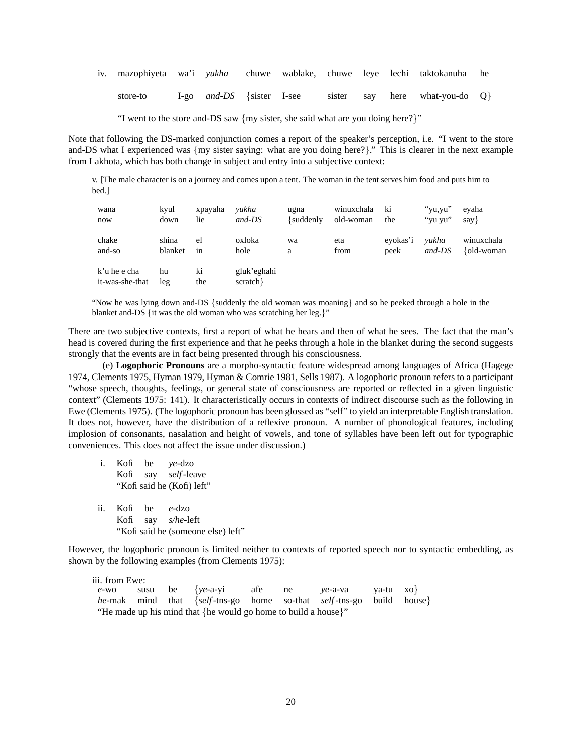|          |  |  |  | iv. mazophiyeta wa'i <i>yukha</i> chuwe wablake, chuwe leye lechi taktokanuha he |  |
|----------|--|--|--|----------------------------------------------------------------------------------|--|
| store-to |  |  |  | I-go and-DS {sister I-see sister say here what-you-do $Q$ }                      |  |

"I went to the store and-DS saw {my sister, she said what are you doing here?}"

Note that following the DS-marked conjunction comes a report of the speaker's perception, i.e. "I went to the store and-DS what I experienced was {my sister saying: what are you doing here?}." This is clearer in the next example from Lakhota, which has both change in subject and entry into a subjective context:

v. [The male character is on a journey and comes upon a tent. The woman in the tent serves him food and puts him to bed.]

| wana                            | kyul      | xpayaha   | yukha                  | ugna           | winuxchala | ki       | "yu,yu" | evaha         |
|---------------------------------|-----------|-----------|------------------------|----------------|------------|----------|---------|---------------|
| now                             | down      | lie       | $and$ - $DS$           | $\{suddenly\}$ | old-woman  | the      | "yu yu" | say }         |
| chake                           | shina     | el        | oxloka                 | wa             | eta        | evokas'i | yukha   | winuxchala    |
| and-so                          | blanket   | in        | hole                   | a              | from       | peek     | and-DS  | $\{old-woman$ |
| k'u he e cha<br>it-was-she-that | hu<br>leg | ki<br>the | gluk'eghahi<br>scratch |                |            |          |         |               |

"Now he was lying down and-DS {suddenly the old woman was moaning} and so he peeked through a hole in the blanket and-DS {it was the old woman who was scratching her leg.}"

There are two subjective contexts, first a report of what he hears and then of what he sees. The fact that the man's head is covered during the first experience and that he peeks through a hole in the blanket during the second suggests strongly that the events are in fact being presented through his consciousness.

(e) **Logophoric Pronouns** are a morpho-syntactic feature widespread among languages of Africa (Hagege 1974, Clements 1975, Hyman 1979, Hyman & Comrie 1981, Sells 1987). A logophoric pronoun refers to a participant "whose speech, thoughts, feelings, or general state of consciousness are reported or reflected in a given linguistic context" (Clements 1975: 141). It characteristically occurs in contexts of indirect discourse such as the following in Ewe (Clements 1975). (The logophoric pronoun has been glossed as "self" to yield an interpretable English translation. It does not, however, have the distribution of a reflexive pronoun. A number of phonological features, including implosion of consonants, nasalation and height of vowels, and tone of syllables have been left out for typographic conveniences. This does not affect the issue under discussion.)

- i. Kofi be *ye*-dzo Kofi say *self*-leave "Kofi said he (Kofi) left"
- ii. Kofi be *e*-dzo Kofi say *s/he*-left "Kofi said he (someone else) left"

However, the logophoric pronoun is limited neither to contexts of reported speech nor to syntactic embedding, as shown by the following examples (from Clements 1975):

iii. from Ewe:<br> $e$ -wo susu *e*-wo susu be {*ye*-a-yi afe ne *ye*-a-va ya-tu xo} *he*-mak mind that {*self*-tns-go home so-that *self*-tns-go build house} "He made up his mind that {he would go home to build a house}"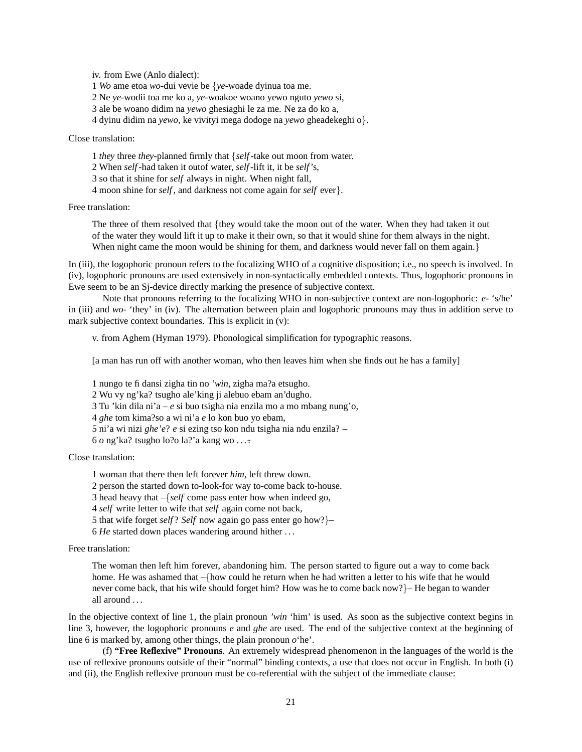iv. from Ewe (Anlo dialect):

1 *Wo* ame etoa *wo*-dui vevie be {*ye*-woade dyinua toa me.

2 Ne *ye*-wodii toa me ko a, *ye*-woakoe woano yewo nguto *yewo* si,

3 ale be woano didim na *yewo* ghesiaghi le za me. Ne za do ko a,

4 dyinu didim na *yewo*, ke vivityi mega dodoge na *yewo* gheadekeghi o}.

Close translation:

1 *they* three *they*-planned firmly that {*self*-take out moon from water.

2 When *self*-had taken it outof water, *self*-lift it, it be *self*'s,

3 so that it shine for *self* always in night. When night fall,

4 moon shine for *self* , and darkness not come again for *self* ever}.

Free translation:

The three of them resolved that {they would take the moon out of the water. When they had taken it out of the water they would lift it up to make it their own, so that it would shine for them always in the night. When night came the moon would be shining for them, and darkness would never fall on them again.}

In (iii), the logophoric pronoun refers to the focalizing WHO of a cognitive disposition; i.e., no speech is involved. In (iv), logophoric pronouns are used extensively in non-syntactically embedded contexts. Thus, logophoric pronouns in Ewe seem to be an Sj-device directly marking the presence of subjective context.

Note that pronouns referring to the focalizing WHO in non-subjective context are non-logophoric: *e-* 's/he' in (iii) and *wo-* 'they' in (iv). The alternation between plain and logophoric pronouns may thus in addition serve to mark subjective context boundaries. This is explicit in (v):

v. from Aghem (Hyman 1979). Phonological simplification for typographic reasons.

[a man has run off with another woman, who then leaves him when she finds out he has a family]

1 nungo te fi dansi zigha tin no *'win*, zigha ma?a etsugho.

2 Wu vy ng'ka? tsugho ale'king ji alebuo ebam an'dugho.

3 Tu 'kin dila ni'a – *e* si buo tsigha nia enzila mo a mo mbang nung'o,

4 *ghe* tom kima?so a wi ni'a *e* lo kon buo yo ebam,

5 ni'a wi nizi *ghe'e*? *e* si ezing tso kon ndu tsigha nia ndu enzila? –

6 *o* ng'ka? tsugho lo?o la?'a kang wo . . . ˜ .

Close translation:

1 woman that there then left forever *him*, left threw down.

2 person the started down to-look-for way to-come back to-house.

3 head heavy that –{*self* come pass enter how when indeed go,

4 *self* write letter to wife that *self* again come not back,

5 that wife forget *self* ? *Self* now again go pass enter go how?}–

6 *He* started down places wandering around hither . . .

Free translation:

The woman then left him forever, abandoning him. The person started to figure out a way to come back home. He was ashamed that –{how could he return when he had written a letter to his wife that he would never come back, that his wife should forget him? How was he to come back now?}– He began to wander all around . . .

In the objective context of line 1, the plain pronoun *'win* 'him' is used. As soon as the subjective context begins in line 3, however, the logophoric pronouns *e* and *ghe* are used. The end of the subjective context at the beginning of line 6 is marked by, among other things, the plain pronoun *o*'he'.

(f) **"Free Reflexive" Pronouns**. An extremely widespread phenomenon in the languages of the world is the use of reflexive pronouns outside of their "normal" binding contexts, a use that does not occur in English. In both (i) and (ii), the English reflexive pronoun must be co-referential with the subject of the immediate clause: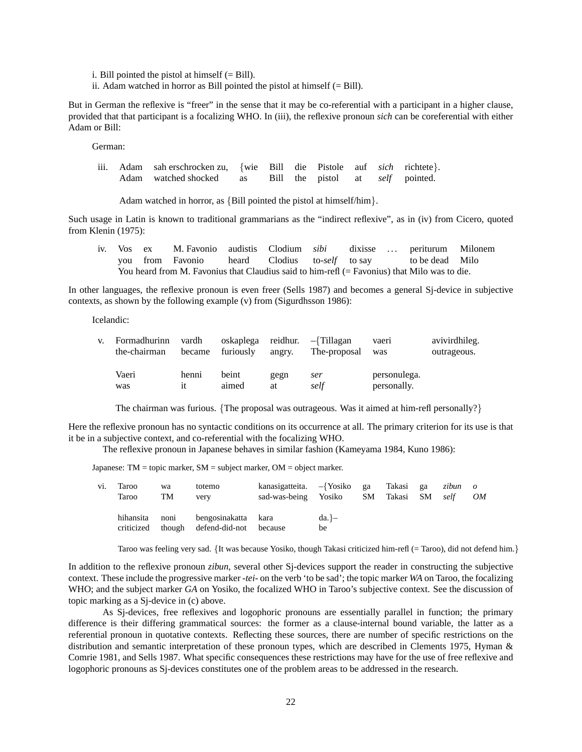i. Bill pointed the pistol at himself  $(= Bill)$ .

ii. Adam watched in horror as Bill pointed the pistol at himself  $(= Bill)$ .

But in German the reflexive is "freer" in the sense that it may be co-referential with a participant in a higher clause, provided that that participant is a focalizing WHO. In (iii), the reflexive pronoun *sich* can be coreferential with either Adam or Bill:

German:

iii. Adam sah erschrocken zu, {wie Bill die Pistole auf *sich* richtete}. Adam watched shocked as Bill the pistol at *self* pointed.

Adam watched in horror, as {Bill pointed the pistol at himself/him}.

Such usage in Latin is known to traditional grammarians as the "indirect reflexive", as in (iv) from Cicero, quoted from Klenin (1975):

|  | iv. Vos ex M. Favonio audistis Clodium <i>sibi</i> dixisse  periturum Milonem                  |  |  |  |  |
|--|------------------------------------------------------------------------------------------------|--|--|--|--|
|  | you from Favonio heard Clodius to-self to say to be dead Milo                                  |  |  |  |  |
|  | You heard from M. Favonius that Claudius said to him-refl $(=$ Favonius) that Milo was to die. |  |  |  |  |

In other languages, the reflexive pronoun is even freer (Sells 1987) and becomes a general Sj-device in subjective contexts, as shown by the following example (v) from (Sigurdhsson 1986):

Icelandic:

| V. | Formadhurinn<br>the-chairman | vardh<br>became | oskaplega reidhur.<br>furiously | angry.     | -{Tillagan<br>The-proposal | vaeri<br>was                | avivirdhileg.<br>outrageous. |
|----|------------------------------|-----------------|---------------------------------|------------|----------------------------|-----------------------------|------------------------------|
|    | Vaeri<br>was                 | henni<br>1t     | beint<br>aimed                  | gegn<br>at | ser<br>self                | personulega.<br>personally. |                              |

The chairman was furious. {The proposal was outrageous. Was it aimed at him-refl personally?}

Here the reflexive pronoun has no syntactic conditions on its occurrence at all. The primary criterion for its use is that it be in a subjective context, and co-referential with the focalizing WHO.

The reflexive pronoun in Japanese behaves in similar fashion (Kameyama 1984, Kuno 1986):

Japanese: TM = topic marker, SM = subject marker, OM = object marker.

| vi. | Taroo<br>Taroo                 | wa<br>TM | totemo<br>very                                | kanasigatteita. $-\{Yosiko\}$<br>sad-was-being | Yosiko          | $\sim$ ga<br>SM | Takasi ga<br>Takasi | - SM | zibun o<br>self | OM |
|-----|--------------------------------|----------|-----------------------------------------------|------------------------------------------------|-----------------|-----------------|---------------------|------|-----------------|----|
|     | hihansita<br>criticized though | noni     | bengosinakatta kara<br>defend-did-not because |                                                | $da.$ } –<br>be |                 |                     |      |                 |    |

Taroo was feeling very sad. {It was because Yosiko, though Takasi criticized him-refl (= Taroo), did not defend him.}

In addition to the reflexive pronoun *zibun*, several other Sj-devices support the reader in constructing the subjective context. These include the progressive marker *-tei-* on the verb 'to be sad'; the topic marker *WA* on Taroo, the focalizing WHO; and the subject marker *GA* on Yosiko, the focalized WHO in Taroo's subjective context. See the discussion of topic marking as a Sj-device in (c) above.

As Sj-devices, free reflexives and logophoric pronouns are essentially parallel in function; the primary difference is their differing grammatical sources: the former as a clause-internal bound variable, the latter as a referential pronoun in quotative contexts. Reflecting these sources, there are number of specific restrictions on the distribution and semantic interpretation of these pronoun types, which are described in Clements 1975, Hyman & Comrie 1981, and Sells 1987. What specific consequences these restrictions may have for the use of free reflexive and logophoric pronouns as Sj-devices constitutes one of the problem areas to be addressed in the research.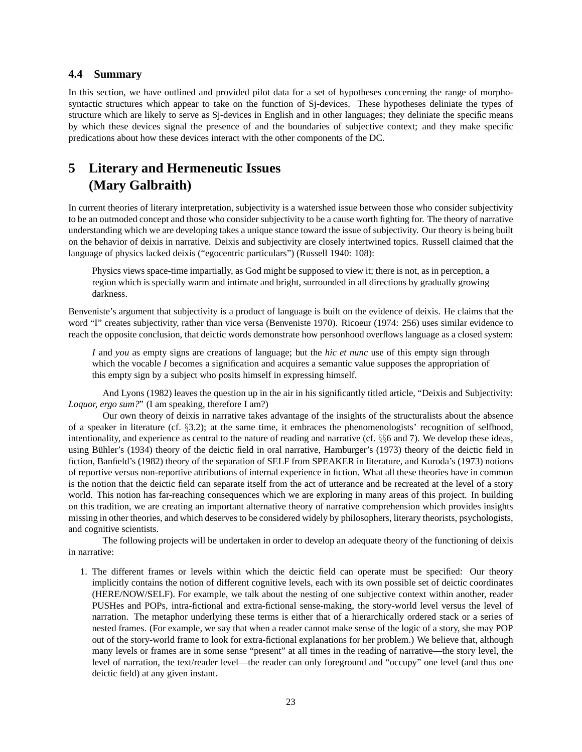## **4.4 Summary**

In this section, we have outlined and provided pilot data for a set of hypotheses concerning the range of morphosyntactic structures which appear to take on the function of Sj-devices. These hypotheses deliniate the types of structure which are likely to serve as Sj-devices in English and in other languages; they deliniate the specific means by which these devices signal the presence of and the boundaries of subjective context; and they make specific predications about how these devices interact with the other components of the DC.

# **5 Literary and Hermeneutic Issues (Mary Galbraith)**

In current theories of literary interpretation, subjectivity is a watershed issue between those who consider subjectivity to be an outmoded concept and those who consider subjectivity to be a cause worth fighting for. The theory of narrative understanding which we are developing takes a unique stance toward the issue of subjectivity. Our theory is being built on the behavior of deixis in narrative. Deixis and subjectivity are closely intertwined topics. Russell claimed that the language of physics lacked deixis ("egocentric particulars") (Russell 1940: 108):

Physics views space-time impartially, as God might be supposed to view it; there is not, as in perception, a region which is specially warm and intimate and bright, surrounded in all directions by gradually growing darkness.

Benveniste's argument that subjectivity is a product of language is built on the evidence of deixis. He claims that the word "I" creates subjectivity, rather than vice versa (Benveniste 1970). Ricoeur (1974: 256) uses similar evidence to reach the opposite conclusion, that deictic words demonstrate how personhood overflows language as a closed system:

*I* and *you* as empty signs are creations of language; but the *hic et nunc* use of this empty sign through which the vocable *I* becomes a signification and acquires a semantic value supposes the appropriation of this empty sign by a subject who posits himself in expressing himself.

And Lyons (1982) leaves the question up in the air in his significantly titled article, "Deixis and Subjectivity: *Loquor, ergo sum?*" (I am speaking, therefore I am?)

Our own theory of deixis in narrative takes advantage of the insights of the structuralists about the absence of a speaker in literature (cf. §3.2); at the same time, it embraces the phenomenologists' recognition of selfhood, intentionality, and experience as central to the nature of reading and narrative (cf. §§6 and 7). We develop these ideas, using Bühler's (1934) theory of the deictic field in oral narrative, Hamburger's (1973) theory of the deictic field in fiction, Banfield's (1982) theory of the separation of SELF from SPEAKER in literature, and Kuroda's (1973) notions of reportive versus non-reportive attributions of internal experience in fiction. What all these theories have in common is the notion that the deictic field can separate itself from the act of utterance and be recreated at the level of a story world. This notion has far-reaching consequences which we are exploring in many areas of this project. In building on this tradition, we are creating an important alternative theory of narrative comprehension which provides insights missing in other theories, and which deserves to be considered widely by philosophers, literary theorists, psychologists, and cognitive scientists.

The following projects will be undertaken in order to develop an adequate theory of the functioning of deixis in narrative:

1. The different frames or levels within which the deictic field can operate must be specified: Our theory implicitly contains the notion of different cognitive levels, each with its own possible set of deictic coordinates (HERE/NOW/SELF). For example, we talk about the nesting of one subjective context within another, reader PUSHes and POPs, intra-fictional and extra-fictional sense-making, the story-world level versus the level of narration. The metaphor underlying these terms is either that of a hierarchically ordered stack or a series of nested frames. (For example, we say that when a reader cannot make sense of the logic of a story, she may POP out of the story-world frame to look for extra-fictional explanations for her problem.) We believe that, although many levels or frames are in some sense "present" at all times in the reading of narrative—the story level, the level of narration, the text/reader level—the reader can only foreground and "occupy" one level (and thus one deictic field) at any given instant.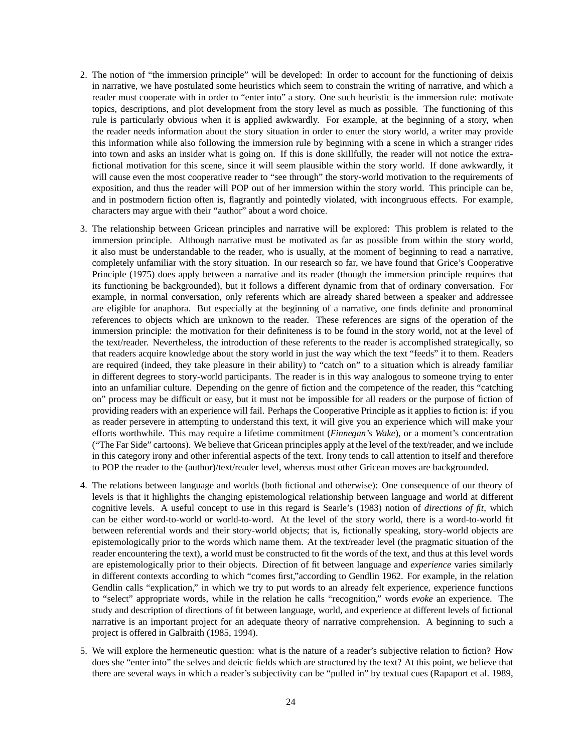- 2. The notion of "the immersion principle" will be developed: In order to account for the functioning of deixis in narrative, we have postulated some heuristics which seem to constrain the writing of narrative, and which a reader must cooperate with in order to "enter into" a story. One such heuristic is the immersion rule: motivate topics, descriptions, and plot development from the story level as much as possible. The functioning of this rule is particularly obvious when it is applied awkwardly. For example, at the beginning of a story, when the reader needs information about the story situation in order to enter the story world, a writer may provide this information while also following the immersion rule by beginning with a scene in which a stranger rides into town and asks an insider what is going on. If this is done skillfully, the reader will not notice the extrafictional motivation for this scene, since it will seem plausible within the story world. If done awkwardly, it will cause even the most cooperative reader to "see through" the story-world motivation to the requirements of exposition, and thus the reader will POP out of her immersion within the story world. This principle can be, and in postmodern fiction often is, flagrantly and pointedly violated, with incongruous effects. For example, characters may argue with their "author" about a word choice.
- 3. The relationship between Gricean principles and narrative will be explored: This problem is related to the immersion principle. Although narrative must be motivated as far as possible from within the story world, it also must be understandable to the reader, who is usually, at the moment of beginning to read a narrative, completely unfamiliar with the story situation. In our research so far, we have found that Grice's Cooperative Principle (1975) does apply between a narrative and its reader (though the immersion principle requires that its functioning be backgrounded), but it follows a different dynamic from that of ordinary conversation. For example, in normal conversation, only referents which are already shared between a speaker and addressee are eligible for anaphora. But especially at the beginning of a narrative, one finds definite and pronominal references to objects which are unknown to the reader. These references are signs of the operation of the immersion principle: the motivation for their definiteness is to be found in the story world, not at the level of the text/reader. Nevertheless, the introduction of these referents to the reader is accomplished strategically, so that readers acquire knowledge about the story world in just the way which the text "feeds" it to them. Readers are required (indeed, they take pleasure in their ability) to "catch on" to a situation which is already familiar in different degrees to story-world participants. The reader is in this way analogous to someone trying to enter into an unfamiliar culture. Depending on the genre of fiction and the competence of the reader, this "catching on" process may be difficult or easy, but it must not be impossible for all readers or the purpose of fiction of providing readers with an experience will fail. Perhaps the Cooperative Principle as it applies to fiction is: if you as reader persevere in attempting to understand this text, it will give you an experience which will make your efforts worthwhile. This may require a lifetime commitment (*Finnegan's Wake*), or a moment's concentration ("The Far Side" cartoons). We believe that Gricean principles apply at the level of the text/reader, and we include in this category irony and other inferential aspects of the text. Irony tends to call attention to itself and therefore to POP the reader to the (author)/text/reader level, whereas most other Gricean moves are backgrounded.
- 4. The relations between language and worlds (both fictional and otherwise): One consequence of our theory of levels is that it highlights the changing epistemological relationship between language and world at different cognitive levels. A useful concept to use in this regard is Searle's (1983) notion of *directions of fit*, which can be either word-to-world or world-to-word. At the level of the story world, there is a word-to-world fit between referential words and their story-world objects; that is, fictionally speaking, story-world objects are epistemologically prior to the words which name them. At the text/reader level (the pragmatic situation of the reader encountering the text), a world must be constructed to fit the words of the text, and thus at this level words are epistemologically prior to their objects. Direction of fit between language and *experience* varies similarly in different contexts according to which "comes first,"according to Gendlin 1962. For example, in the relation Gendlin calls "explication," in which we try to put words to an already felt experience, experience functions to "select" appropriate words, while in the relation he calls "recognition," words *evoke* an experience. The study and description of directions of fit between language, world, and experience at different levels of fictional narrative is an important project for an adequate theory of narrative comprehension. A beginning to such a project is offered in Galbraith (1985, 1994).
- 5. We will explore the hermeneutic question: what is the nature of a reader's subjective relation to fiction? How does she "enter into" the selves and deictic fields which are structured by the text? At this point, we believe that there are several ways in which a reader's subjectivity can be "pulled in" by textual cues (Rapaport et al. 1989,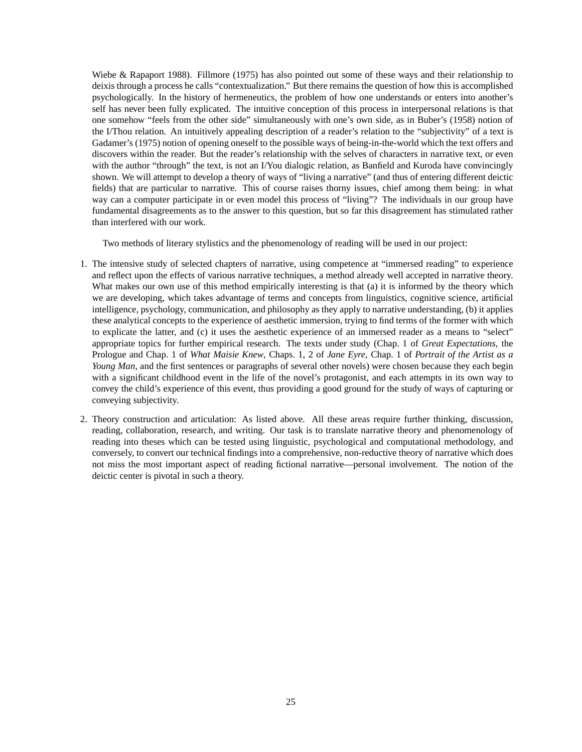Wiebe & Rapaport 1988). Fillmore (1975) has also pointed out some of these ways and their relationship to deixis through a process he calls "contextualization." But there remains the question of how this is accomplished psychologically. In the history of hermeneutics, the problem of how one understands or enters into another's self has never been fully explicated. The intuitive conception of this process in interpersonal relations is that one somehow "feels from the other side" simultaneously with one's own side, as in Buber's (1958) notion of the I/Thou relation. An intuitively appealing description of a reader's relation to the "subjectivity" of a text is Gadamer's (1975) notion of opening oneself to the possible ways of being-in-the-world which the text offers and discovers within the reader. But the reader's relationship with the selves of characters in narrative text, or even with the author "through" the text, is not an I/You dialogic relation, as Banfield and Kuroda have convincingly shown. We will attempt to develop a theory of ways of "living a narrative" (and thus of entering different deictic fields) that are particular to narrative. This of course raises thorny issues, chief among them being: in what way can a computer participate in or even model this process of "living"? The individuals in our group have fundamental disagreements as to the answer to this question, but so far this disagreement has stimulated rather than interfered with our work.

Two methods of literary stylistics and the phenomenology of reading will be used in our project:

- 1. The intensive study of selected chapters of narrative, using competence at "immersed reading" to experience and reflect upon the effects of various narrative techniques, a method already well accepted in narrative theory. What makes our own use of this method empirically interesting is that (a) it is informed by the theory which we are developing, which takes advantage of terms and concepts from linguistics, cognitive science, artificial intelligence, psychology, communication, and philosophy as they apply to narrative understanding, (b) it applies these analytical concepts to the experience of aesthetic immersion, trying to find terms of the former with which to explicate the latter, and (c) it uses the aesthetic experience of an immersed reader as a means to "select" appropriate topics for further empirical research. The texts under study (Chap. 1 of *Great Expectations*, the Prologue and Chap. 1 of *What Maisie Knew*, Chaps. 1, 2 of *Jane Eyre*, Chap. 1 of *Portrait of the Artist as a Young Man*, and the first sentences or paragraphs of several other novels) were chosen because they each begin with a significant childhood event in the life of the novel's protagonist, and each attempts in its own way to convey the child's experience of this event, thus providing a good ground for the study of ways of capturing or conveying subjectivity.
- 2. Theory construction and articulation: As listed above. All these areas require further thinking, discussion, reading, collaboration, research, and writing. Our task is to translate narrative theory and phenomenology of reading into theses which can be tested using linguistic, psychological and computational methodology, and conversely, to convert our technical findings into a comprehensive, non-reductive theory of narrative which does not miss the most important aspect of reading fictional narrative—personal involvement. The notion of the deictic center is pivotal in such a theory.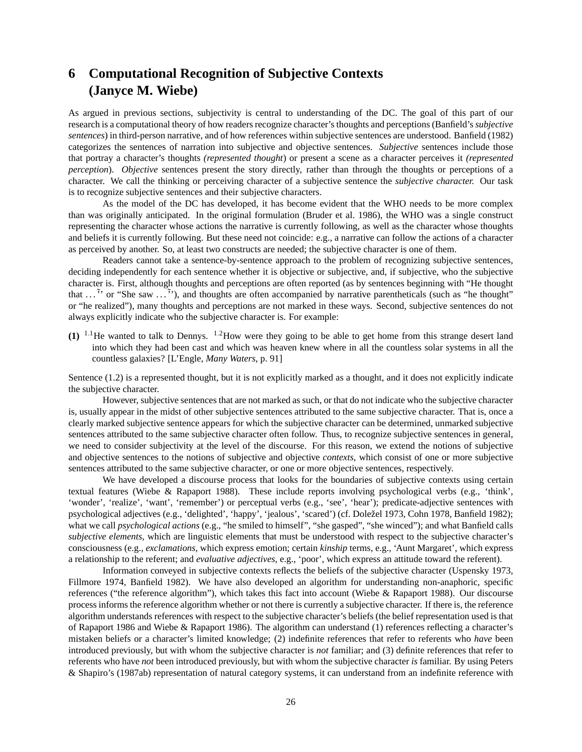# **6 Computational Recognition of Subjective Contexts (Janyce M. Wiebe)**

As argued in previous sections, subjectivity is central to understanding of the DC. The goal of this part of our research is a computational theory of how readers recognize character's thoughts and perceptions (Banfield's *subjective sentences*) in third-person narrative, and of how references within subjective sentences are understood. Banfield (1982) categorizes the sentences of narration into subjective and objective sentences. *Subjective* sentences include those that portray a character's thoughts *(represented thought*) or present a scene as a character perceives it *(represented perception*). *Objective* sentences present the story directly, rather than through the thoughts or perceptions of a character. We call the thinking or perceiving character of a subjective sentence the *subjective character.* Our task is to recognize subjective sentences and their subjective characters.

As the model of the DC has developed, it has become evident that the WHO needs to be more complex than was originally anticipated. In the original formulation (Bruder et al. 1986), the WHO was a single construct representing the character whose actions the narrative is currently following, as well as the character whose thoughts and beliefs it is currently following. But these need not coincide: e.g., a narrative can follow the actions of a character as perceived by another. So, at least two constructs are needed; the subjective character is one of them.

Readers cannot take a sentence-by-sentence approach to the problem of recognizing subjective sentences, deciding independently for each sentence whether it is objective or subjective, and, if subjective, who the subjective character is. First, although thoughts and perceptions are often reported (as by sentences beginning with "He thought that  $\ldots$ <sup>7</sup>' or "She saw  $\ldots$ <sup>7</sup>'), and thoughts are often accompanied by narrative parentheticals (such as "he thought" or "he realized"), many thoughts and perceptions are not marked in these ways. Second, subjective sentences do not always explicitly indicate who the subjective character is. For example:

**(1)** <sup>1</sup>.1He wanted to talk to Dennys. <sup>1</sup>.2How were they going to be able to get home from this strange desert land into which they had been cast and which was heaven knew where in all the countless solar systems in all the countless galaxies? [L'Engle, *Many Waters*, p. 91]

Sentence (1.2) is a represented thought, but it is not explicitly marked as a thought, and it does not explicitly indicate the subjective character.

However, subjective sentences that are not marked as such, or that do not indicate who the subjective character is, usually appear in the midst of other subjective sentences attributed to the same subjective character. That is, once a clearly marked subjective sentence appears for which the subjective character can be determined, unmarked subjective sentences attributed to the same subjective character often follow. Thus, to recognize subjective sentences in general, we need to consider subjectivity at the level of the discourse. For this reason, we extend the notions of subjective and objective sentences to the notions of subjective and objective *contexts*, which consist of one or more subjective sentences attributed to the same subjective character, or one or more objective sentences, respectively.

We have developed a discourse process that looks for the boundaries of subjective contexts using certain textual features (Wiebe & Rapaport 1988). These include reports involving psychological verbs (e.g., 'think', 'wonder', 'realize', 'want', 'remember') or perceptual verbs (e.g., 'see', 'hear'); predicate-adjective sentences with psychological adjectives (e.g., 'delighted', 'happy', 'jealous', 'scared') (cf. Doležel 1973, Cohn 1978, Banfield 1982); what we call *psychological actions* (e.g., "he smiled to himself", "she gasped", "she winced"); and what Banfield calls *subjective elements*, which are linguistic elements that must be understood with respect to the subjective character's consciousness (e.g., *exclamations*, which express emotion; certain *kinship* terms, e.g., 'Aunt Margaret', which express a relationship to the referent; and *evaluative adjectives*, e.g., 'poor', which express an attitude toward the referent).

Information conveyed in subjective contexts reflects the beliefs of the subjective character (Uspensky 1973, Fillmore 1974, Banfield 1982). We have also developed an algorithm for understanding non-anaphoric, specific references ("the reference algorithm"), which takes this fact into account (Wiebe & Rapaport 1988). Our discourse process informs the reference algorithm whether or not there is currently a subjective character. If there is, the reference algorithm understands references with respect to the subjective character's beliefs (the belief representation used is that of Rapaport 1986 and Wiebe & Rapaport 1986). The algorithm can understand (1) references reflecting a character's mistaken beliefs or a character's limited knowledge; (2) indefinite references that refer to referents who *have* been introduced previously, but with whom the subjective character is *not* familiar; and (3) definite references that refer to referents who have *not* been introduced previously, but with whom the subjective character *is* familiar. By using Peters & Shapiro's (1987ab) representation of natural category systems, it can understand from an indefinite reference with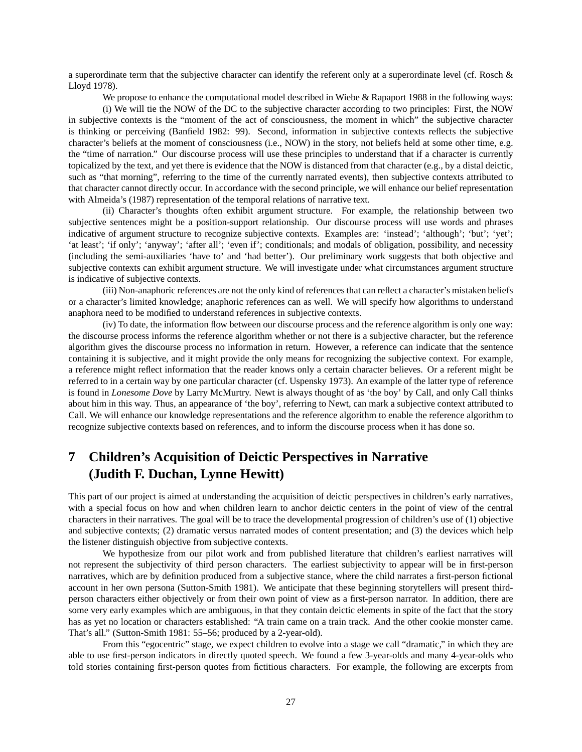a superordinate term that the subjective character can identify the referent only at a superordinate level (cf. Rosch & Lloyd 1978).

We propose to enhance the computational model described in Wiebe & Rapaport 1988 in the following ways: (i) We will tie the NOW of the DC to the subjective character according to two principles: First, the NOW in subjective contexts is the "moment of the act of consciousness, the moment in which" the subjective character is thinking or perceiving (Banfield 1982: 99). Second, information in subjective contexts reflects the subjective character's beliefs at the moment of consciousness (i.e., NOW) in the story, not beliefs held at some other time, e.g. the "time of narration." Our discourse process will use these principles to understand that if a character is currently topicalized by the text, and yet there is evidence that the NOW is distanced from that character (e.g., by a distal deictic, such as "that morning", referring to the time of the currently narrated events), then subjective contexts attributed to that character cannot directly occur. In accordance with the second principle, we will enhance our belief representation with Almeida's (1987) representation of the temporal relations of narrative text.

(ii) Character's thoughts often exhibit argument structure. For example, the relationship between two subjective sentences might be a position-support relationship. Our discourse process will use words and phrases indicative of argument structure to recognize subjective contexts. Examples are: 'instead'; 'although'; 'but'; 'yet'; 'at least'; 'if only'; 'anyway'; 'after all'; 'even if'; conditionals; and modals of obligation, possibility, and necessity (including the semi-auxiliaries 'have to' and 'had better'). Our preliminary work suggests that both objective and subjective contexts can exhibit argument structure. We will investigate under what circumstances argument structure is indicative of subjective contexts.

(iii) Non-anaphoric references are not the only kind of references that can reflect a character's mistaken beliefs or a character's limited knowledge; anaphoric references can as well. We will specify how algorithms to understand anaphora need to be modified to understand references in subjective contexts.

(iv) To date, the information flow between our discourse process and the reference algorithm is only one way: the discourse process informs the reference algorithm whether or not there is a subjective character, but the reference algorithm gives the discourse process no information in return. However, a reference can indicate that the sentence containing it is subjective, and it might provide the only means for recognizing the subjective context. For example, a reference might reflect information that the reader knows only a certain character believes. Or a referent might be referred to in a certain way by one particular character (cf. Uspensky 1973). An example of the latter type of reference is found in *Lonesome Dove* by Larry McMurtry. Newt is always thought of as 'the boy' by Call, and only Call thinks about him in this way. Thus, an appearance of 'the boy', referring to Newt, can mark a subjective context attributed to Call. We will enhance our knowledge representations and the reference algorithm to enable the reference algorithm to recognize subjective contexts based on references, and to inform the discourse process when it has done so.

# **7 Children's Acquisition of Deictic Perspectives in Narrative (Judith F. Duchan, Lynne Hewitt)**

This part of our project is aimed at understanding the acquisition of deictic perspectives in children's early narratives, with a special focus on how and when children learn to anchor deictic centers in the point of view of the central characters in their narratives. The goal will be to trace the developmental progression of children's use of (1) objective and subjective contexts; (2) dramatic versus narrated modes of content presentation; and (3) the devices which help the listener distinguish objective from subjective contexts.

We hypothesize from our pilot work and from published literature that children's earliest narratives will not represent the subjectivity of third person characters. The earliest subjectivity to appear will be in first-person narratives, which are by definition produced from a subjective stance, where the child narrates a first-person fictional account in her own persona (Sutton-Smith 1981). We anticipate that these beginning storytellers will present thirdperson characters either objectively or from their own point of view as a first-person narrator. In addition, there are some very early examples which are ambiguous, in that they contain deictic elements in spite of the fact that the story has as yet no location or characters established: "A train came on a train track. And the other cookie monster came. That's all." (Sutton-Smith 1981: 55–56; produced by a 2-year-old).

From this "egocentric" stage, we expect children to evolve into a stage we call "dramatic," in which they are able to use first-person indicators in directly quoted speech. We found a few 3-year-olds and many 4-year-olds who told stories containing first-person quotes from fictitious characters. For example, the following are excerpts from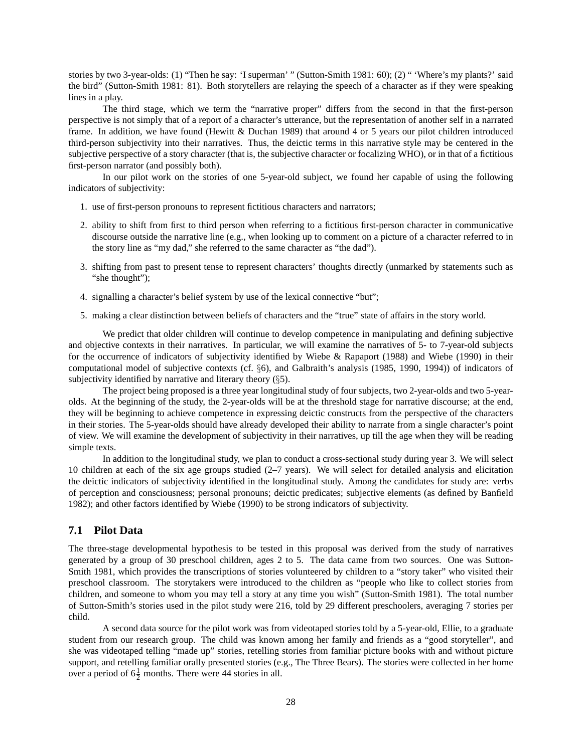stories by two 3-year-olds: (1) "Then he say: 'I superman' " (Sutton-Smith 1981: 60); (2) " 'Where's my plants?' said the bird" (Sutton-Smith 1981: 81). Both storytellers are relaying the speech of a character as if they were speaking lines in a play.

The third stage, which we term the "narrative proper" differs from the second in that the first-person perspective is not simply that of a report of a character's utterance, but the representation of another self in a narrated frame. In addition, we have found (Hewitt & Duchan 1989) that around 4 or 5 years our pilot children introduced third-person subjectivity into their narratives. Thus, the deictic terms in this narrative style may be centered in the subjective perspective of a story character (that is, the subjective character or focalizing WHO), or in that of a fictitious first-person narrator (and possibly both).

In our pilot work on the stories of one 5-year-old subject, we found her capable of using the following indicators of subjectivity:

- 1. use of first-person pronouns to represent fictitious characters and narrators;
- 2. ability to shift from first to third person when referring to a fictitious first-person character in communicative discourse outside the narrative line (e.g., when looking up to comment on a picture of a character referred to in the story line as "my dad," she referred to the same character as "the dad").
- 3. shifting from past to present tense to represent characters' thoughts directly (unmarked by statements such as "she thought");
- 4. signalling a character's belief system by use of the lexical connective "but";
- 5. making a clear distinction between beliefs of characters and the "true" state of affairs in the story world.

We predict that older children will continue to develop competence in manipulating and defining subjective and objective contexts in their narratives. In particular, we will examine the narratives of 5- to 7-year-old subjects for the occurrence of indicators of subjectivity identified by Wiebe & Rapaport (1988) and Wiebe (1990) in their computational model of subjective contexts (cf. §6), and Galbraith's analysis (1985, 1990, 1994)) of indicators of subjectivity identified by narrative and literary theory (§5).

The project being proposed is a three year longitudinal study of four subjects, two 2-year-olds and two 5-yearolds. At the beginning of the study, the 2-year-olds will be at the threshold stage for narrative discourse; at the end, they will be beginning to achieve competence in expressing deictic constructs from the perspective of the characters in their stories. The 5-year-olds should have already developed their ability to narrate from a single character's point of view. We will examine the development of subjectivity in their narratives, up till the age when they will be reading simple texts.

In addition to the longitudinal study, we plan to conduct a cross-sectional study during year 3. We will select 10 children at each of the six age groups studied (2–7 years). We will select for detailed analysis and elicitation the deictic indicators of subjectivity identified in the longitudinal study. Among the candidates for study are: verbs of perception and consciousness; personal pronouns; deictic predicates; subjective elements (as defined by Banfield 1982); and other factors identified by Wiebe (1990) to be strong indicators of subjectivity.

## **7.1 Pilot Data**

The three-stage developmental hypothesis to be tested in this proposal was derived from the study of narratives generated by a group of 30 preschool children, ages 2 to 5. The data came from two sources. One was Sutton-Smith 1981, which provides the transcriptions of stories volunteered by children to a "story taker" who visited their preschool classroom. The storytakers were introduced to the children as "people who like to collect stories from children, and someone to whom you may tell a story at any time you wish" (Sutton-Smith 1981). The total number of Sutton-Smith's stories used in the pilot study were 216, told by 29 different preschoolers, averaging 7 stories per child.

A second data source for the pilot work was from videotaped stories told by a 5-year-old, Ellie, to a graduate student from our research group. The child was known among her family and friends as a "good storyteller", and she was videotaped telling "made up" stories, retelling stories from familiar picture books with and without picture support, and retelling familiar orally presented stories (e.g., The Three Bears). The stories were collected in her home over a period of  $6\frac{1}{2}$  months. There were 44 stories in all.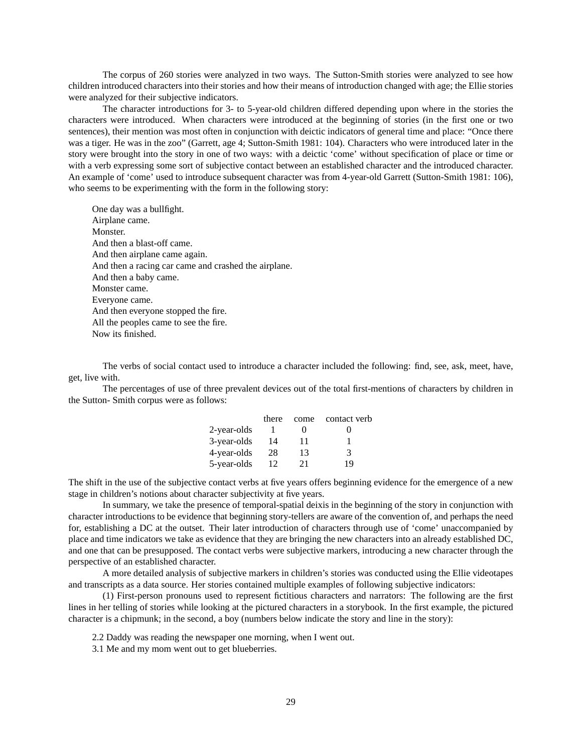The corpus of 260 stories were analyzed in two ways. The Sutton-Smith stories were analyzed to see how children introduced characters into their stories and how their means of introduction changed with age; the Ellie stories were analyzed for their subjective indicators.

The character introductions for 3- to 5-year-old children differed depending upon where in the stories the characters were introduced. When characters were introduced at the beginning of stories (in the first one or two sentences), their mention was most often in conjunction with deictic indicators of general time and place: "Once there was a tiger. He was in the zoo" (Garrett, age 4; Sutton-Smith 1981: 104). Characters who were introduced later in the story were brought into the story in one of two ways: with a deictic 'come' without specification of place or time or with a verb expressing some sort of subjective contact between an established character and the introduced character. An example of 'come' used to introduce subsequent character was from 4-year-old Garrett (Sutton-Smith 1981: 106), who seems to be experimenting with the form in the following story:

One day was a bullfight. Airplane came. Monster. And then a blast-off came. And then airplane came again. And then a racing car came and crashed the airplane. And then a baby came. Monster came. Everyone came. And then everyone stopped the fire. All the peoples came to see the fire. Now its finished.

The verbs of social contact used to introduce a character included the following: find, see, ask, meet, have, get, live with.

The percentages of use of three prevalent devices out of the total first-mentions of characters by children in the Sutton- Smith corpus were as follows:

|             | there |    | come contact verb |
|-------------|-------|----|-------------------|
| 2-year-olds |       |    |                   |
| 3-year-olds | 14    | 11 |                   |
| 4-year-olds | 28    | 13 | 3                 |
| 5-year-olds | 12    | 21 | 19                |

The shift in the use of the subjective contact verbs at five years offers beginning evidence for the emergence of a new stage in children's notions about character subjectivity at five years.

In summary, we take the presence of temporal-spatial deixis in the beginning of the story in conjunction with character introductions to be evidence that beginning story-tellers are aware of the convention of, and perhaps the need for, establishing a DC at the outset. Their later introduction of characters through use of 'come' unaccompanied by place and time indicators we take as evidence that they are bringing the new characters into an already established DC, and one that can be presupposed. The contact verbs were subjective markers, introducing a new character through the perspective of an established character.

A more detailed analysis of subjective markers in children's stories was conducted using the Ellie videotapes and transcripts as a data source. Her stories contained multiple examples of following subjective indicators:

(1) First-person pronouns used to represent fictitious characters and narrators: The following are the first lines in her telling of stories while looking at the pictured characters in a storybook. In the first example, the pictured character is a chipmunk; in the second, a boy (numbers below indicate the story and line in the story):

2.2 Daddy was reading the newspaper one morning, when I went out.

3.1 Me and my mom went out to get blueberries.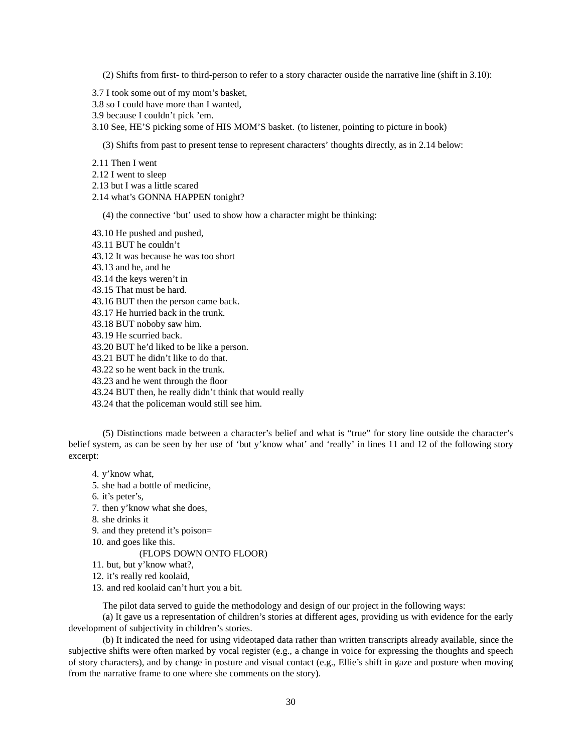(2) Shifts from first- to third-person to refer to a story character ouside the narrative line (shift in 3.10):

- 3.7 I took some out of my mom's basket,
- 3.8 so I could have more than I wanted,
- 3.9 because I couldn't pick 'em.
- 3.10 See, HE'S picking some of HIS MOM'S basket. (to listener, pointing to picture in book)

(3) Shifts from past to present tense to represent characters' thoughts directly, as in 2.14 below:

- 2.11 Then I went
- 2.12 I went to sleep
- 2.13 but I was a little scared
- 2.14 what's GONNA HAPPEN tonight?

(4) the connective 'but' used to show how a character might be thinking:

- 43.10 He pushed and pushed,
- 43.11 BUT he couldn't
- 43.12 It was because he was too short
- 43.13 and he, and he
- 43.14 the keys weren't in
- 43.15 That must be hard.
- 43.16 BUT then the person came back.
- 43.17 He hurried back in the trunk.
- 43.18 BUT noboby saw him.
- 43.19 He scurried back.

43.20 BUT he'd liked to be like a person.

- 43.21 BUT he didn't like to do that.
- 43.22 so he went back in the trunk.
- 43.23 and he went through the floor
- 43.24 BUT then, he really didn't think that would really
- 43.24 that the policeman would still see him.

(5) Distinctions made between a character's belief and what is "true" for story line outside the character's belief system, as can be seen by her use of 'but y'know what' and 'really' in lines 11 and 12 of the following story excerpt:

- 4. y'know what,
- 5. she had a bottle of medicine,
- 6. it's peter's,
- 7. then y'know what she does,
- 8. she drinks it
- 9. and they pretend it's poison=
- 10. and goes like this.

### (FLOPS DOWN ONTO FLOOR)

- 11. but, but y'know what?,
- 12. it's really red koolaid,
- 13. and red koolaid can't hurt you a bit.

The pilot data served to guide the methodology and design of our project in the following ways:

(a) It gave us a representation of children's stories at different ages, providing us with evidence for the early development of subjectivity in children's stories.

(b) It indicated the need for using videotaped data rather than written transcripts already available, since the subjective shifts were often marked by vocal register (e.g., a change in voice for expressing the thoughts and speech of story characters), and by change in posture and visual contact (e.g., Ellie's shift in gaze and posture when moving from the narrative frame to one where she comments on the story).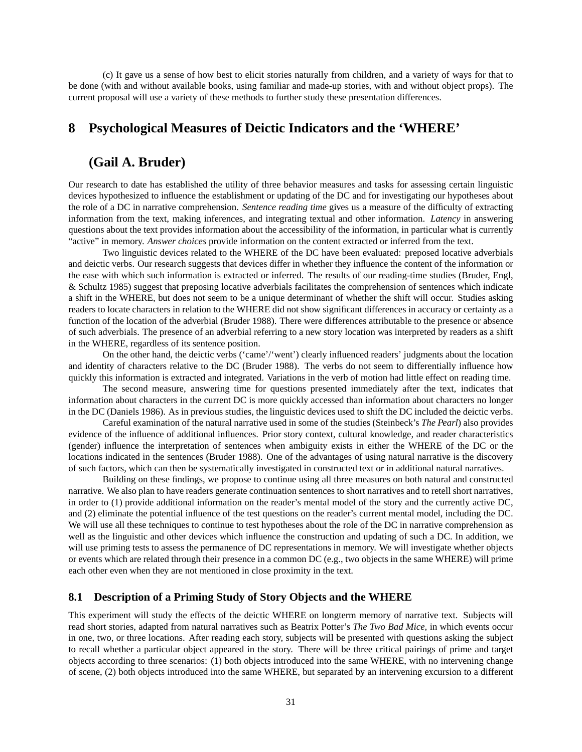(c) It gave us a sense of how best to elicit stories naturally from children, and a variety of ways for that to be done (with and without available books, using familiar and made-up stories, with and without object props). The current proposal will use a variety of these methods to further study these presentation differences.

# **8 Psychological Measures of Deictic Indicators and the 'WHERE'**

# **(Gail A. Bruder)**

Our research to date has established the utility of three behavior measures and tasks for assessing certain linguistic devices hypothesized to influence the establishment or updating of the DC and for investigating our hypotheses about the role of a DC in narrative comprehension. *Sentence reading time* gives us a measure of the difficulty of extracting information from the text, making inferences, and integrating textual and other information. *Latency* in answering questions about the text provides information about the accessibility of the information, in particular what is currently "active" in memory. *Answer choices* provide information on the content extracted or inferred from the text.

Two linguistic devices related to the WHERE of the DC have been evaluated: preposed locative adverbials and deictic verbs. Our research suggests that devices differ in whether they influence the content of the information or the ease with which such information is extracted or inferred. The results of our reading-time studies (Bruder, Engl, & Schultz 1985) suggest that preposing locative adverbials facilitates the comprehension of sentences which indicate a shift in the WHERE, but does not seem to be a unique determinant of whether the shift will occur. Studies asking readers to locate characters in relation to the WHERE did not show significant differences in accuracy or certainty as a function of the location of the adverbial (Bruder 1988). There were differences attributable to the presence or absence of such adverbials. The presence of an adverbial referring to a new story location was interpreted by readers as a shift in the WHERE, regardless of its sentence position.

On the other hand, the deictic verbs ('came'/'went') clearly influenced readers' judgments about the location and identity of characters relative to the DC (Bruder 1988). The verbs do not seem to differentially influence how quickly this information is extracted and integrated. Variations in the verb of motion had little effect on reading time.

The second measure, answering time for questions presented immediately after the text, indicates that information about characters in the current DC is more quickly accessed than information about characters no longer in the DC (Daniels 1986). As in previous studies, the linguistic devices used to shift the DC included the deictic verbs.

Careful examination of the natural narrative used in some of the studies (Steinbeck's *The Pearl*) also provides evidence of the influence of additional influences. Prior story context, cultural knowledge, and reader characteristics (gender) influence the interpretation of sentences when ambiguity exists in either the WHERE of the DC or the locations indicated in the sentences (Bruder 1988). One of the advantages of using natural narrative is the discovery of such factors, which can then be systematically investigated in constructed text or in additional natural narratives.

Building on these findings, we propose to continue using all three measures on both natural and constructed narrative. We also plan to have readers generate continuation sentences to short narratives and to retell short narratives, in order to (1) provide additional information on the reader's mental model of the story and the currently active DC, and (2) eliminate the potential influence of the test questions on the reader's current mental model, including the DC. We will use all these techniques to continue to test hypotheses about the role of the DC in narrative comprehension as well as the linguistic and other devices which influence the construction and updating of such a DC. In addition, we will use priming tests to assess the permanence of DC representations in memory. We will investigate whether objects or events which are related through their presence in a common DC (e.g., two objects in the same WHERE) will prime each other even when they are not mentioned in close proximity in the text.

## **8.1 Description of a Priming Study of Story Objects and the WHERE**

This experiment will study the effects of the deictic WHERE on longterm memory of narrative text. Subjects will read short stories, adapted from natural narratives such as Beatrix Potter's *The Two Bad Mice*, in which events occur in one, two, or three locations. After reading each story, subjects will be presented with questions asking the subject to recall whether a particular object appeared in the story. There will be three critical pairings of prime and target objects according to three scenarios: (1) both objects introduced into the same WHERE, with no intervening change of scene, (2) both objects introduced into the same WHERE, but separated by an intervening excursion to a different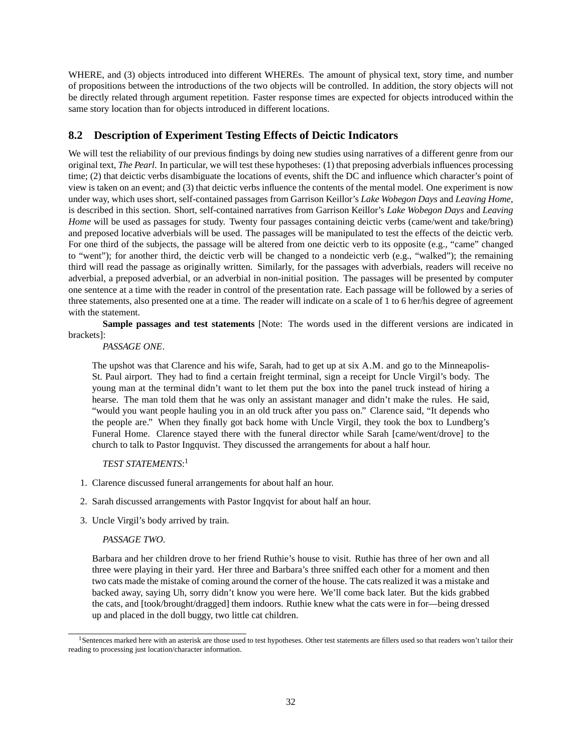WHERE, and (3) objects introduced into different WHEREs. The amount of physical text, story time, and number of propositions between the introductions of the two objects will be controlled. In addition, the story objects will not be directly related through argument repetition. Faster response times are expected for objects introduced within the same story location than for objects introduced in different locations.

# **8.2 Description of Experiment Testing Effects of Deictic Indicators**

We will test the reliability of our previous findings by doing new studies using narratives of a different genre from our original text, *The Pearl*. In particular, we will test these hypotheses: (1) that preposing adverbials influences processing time; (2) that deictic verbs disambiguate the locations of events, shift the DC and influence which character's point of view is taken on an event; and (3) that deictic verbs influence the contents of the mental model. One experiment is now under way, which uses short, self-contained passages from Garrison Keillor's *Lake Wobegon Days* and *Leaving Home*, is described in this section. Short, self-contained narratives from Garrison Keillor's *Lake Wobegon Days* and *Leaving Home* will be used as passages for study. Twenty four passages containing deictic verbs (came/went and take/bring) and preposed locative adverbials will be used. The passages will be manipulated to test the effects of the deictic verb. For one third of the subjects, the passage will be altered from one deictic verb to its opposite (e.g., "came" changed to "went"); for another third, the deictic verb will be changed to a nondeictic verb (e.g., "walked"); the remaining third will read the passage as originally written. Similarly, for the passages with adverbials, readers will receive no adverbial, a preposed adverbial, or an adverbial in non-initial position. The passages will be presented by computer one sentence at a time with the reader in control of the presentation rate. Each passage will be followed by a series of three statements, also presented one at a time. The reader will indicate on a scale of 1 to 6 her/his degree of agreement with the statement.

**Sample passages and test statements** [Note: The words used in the different versions are indicated in brackets]:

*PASSAGE ONE*.

The upshot was that Clarence and his wife, Sarah, had to get up at six A.M. and go to the Minneapolis-St. Paul airport. They had to find a certain freight terminal, sign a receipt for Uncle Virgil's body. The young man at the terminal didn't want to let them put the box into the panel truck instead of hiring a hearse. The man told them that he was only an assistant manager and didn't make the rules. He said, "would you want people hauling you in an old truck after you pass on." Clarence said, "It depends who the people are." When they finally got back home with Uncle Virgil, they took the box to Lundberg's Funeral Home. Clarence stayed there with the funeral director while Sarah [came/went/drove] to the church to talk to Pastor Ingquvist. They discussed the arrangements for about a half hour.

## *TEST STATEMENTS*: 1

- 1. Clarence discussed funeral arrangements for about half an hour.
- 2. Sarah discussed arrangements with Pastor Ingqvist for about half an hour.
- 3. Uncle Virgil's body arrived by train.

### *PASSAGE TWO*.

Barbara and her children drove to her friend Ruthie's house to visit. Ruthie has three of her own and all three were playing in their yard. Her three and Barbara's three sniffed each other for a moment and then two cats made the mistake of coming around the corner of the house. The cats realized it was a mistake and backed away, saying Uh, sorry didn't know you were here. We'll come back later. But the kids grabbed the cats, and [took/brought/dragged] them indoors. Ruthie knew what the cats were in for—being dressed up and placed in the doll buggy, two little cat children.

<sup>&</sup>lt;sup>1</sup>Sentences marked here with an asterisk are those used to test hypotheses. Other test statements are fillers used so that readers won't tailor their reading to processing just location/character information.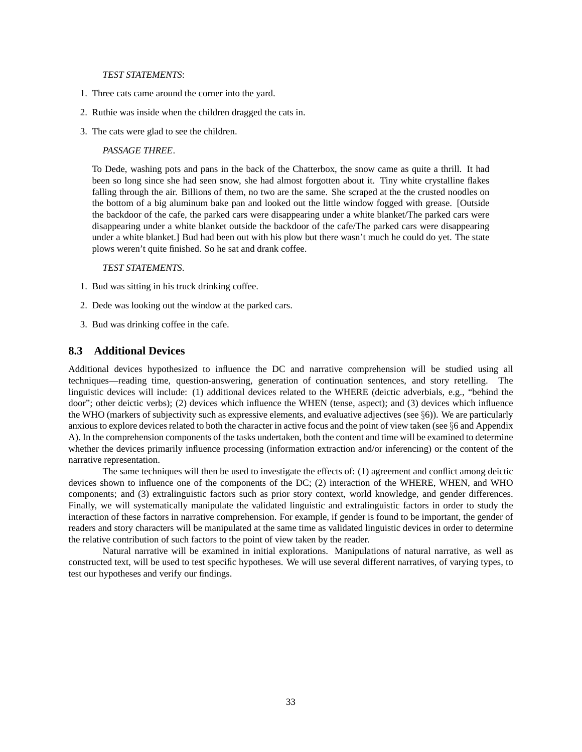#### *TEST STATEMENTS*:

- 1. Three cats came around the corner into the yard.
- 2. Ruthie was inside when the children dragged the cats in.
- 3. The cats were glad to see the children.

### *PASSAGE THREE*.

To Dede, washing pots and pans in the back of the Chatterbox, the snow came as quite a thrill. It had been so long since she had seen snow, she had almost forgotten about it. Tiny white crystalline flakes falling through the air. Billions of them, no two are the same. She scraped at the the crusted noodles on the bottom of a big aluminum bake pan and looked out the little window fogged with grease. [Outside the backdoor of the cafe, the parked cars were disappearing under a white blanket/The parked cars were disappearing under a white blanket outside the backdoor of the cafe/The parked cars were disappearing under a white blanket.] Bud had been out with his plow but there wasn't much he could do yet. The state plows weren't quite finished. So he sat and drank coffee.

#### *TEST STATEMENTS*.

- 1. Bud was sitting in his truck drinking coffee.
- 2. Dede was looking out the window at the parked cars.
- 3. Bud was drinking coffee in the cafe.

## **8.3 Additional Devices**

Additional devices hypothesized to influence the DC and narrative comprehension will be studied using all techniques—reading time, question-answering, generation of continuation sentences, and story retelling. The linguistic devices will include: (1) additional devices related to the WHERE (deictic adverbials, e.g., "behind the door"; other deictic verbs); (2) devices which influence the WHEN (tense, aspect); and (3) devices which influence the WHO (markers of subjectivity such as expressive elements, and evaluative adjectives (see  $\S$ 6)). We are particularly anxious to explore devices related to both the character in active focus and the point of view taken (see §6 and Appendix A). In the comprehension components of the tasks undertaken, both the content and time will be examined to determine whether the devices primarily influence processing (information extraction and/or inferencing) or the content of the narrative representation.

The same techniques will then be used to investigate the effects of: (1) agreement and conflict among deictic devices shown to influence one of the components of the DC; (2) interaction of the WHERE, WHEN, and WHO components; and (3) extralinguistic factors such as prior story context, world knowledge, and gender differences. Finally, we will systematically manipulate the validated linguistic and extralinguistic factors in order to study the interaction of these factors in narrative comprehension. For example, if gender is found to be important, the gender of readers and story characters will be manipulated at the same time as validated linguistic devices in order to determine the relative contribution of such factors to the point of view taken by the reader.

Natural narrative will be examined in initial explorations. Manipulations of natural narrative, as well as constructed text, will be used to test specific hypotheses. We will use several different narratives, of varying types, to test our hypotheses and verify our findings.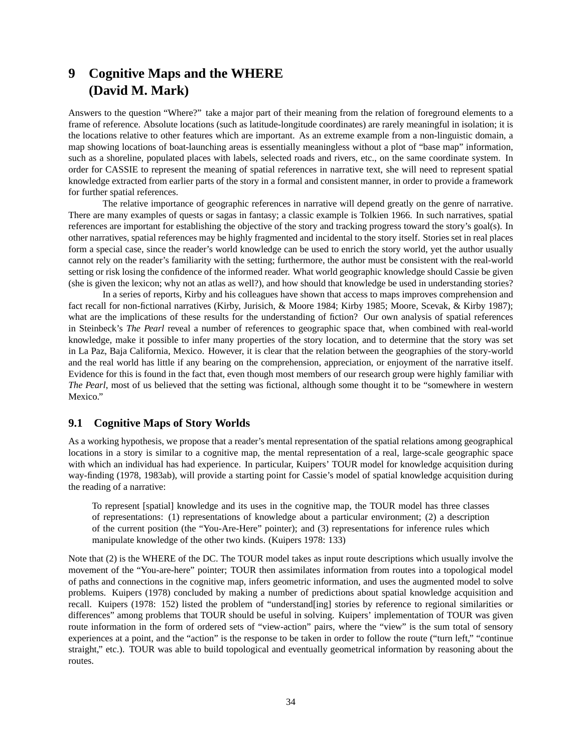# **9 Cognitive Maps and the WHERE (David M. Mark)**

Answers to the question "Where?" take a major part of their meaning from the relation of foreground elements to a frame of reference. Absolute locations (such as latitude-longitude coordinates) are rarely meaningful in isolation; it is the locations relative to other features which are important. As an extreme example from a non-linguistic domain, a map showing locations of boat-launching areas is essentially meaningless without a plot of "base map" information, such as a shoreline, populated places with labels, selected roads and rivers, etc., on the same coordinate system. In order for CASSIE to represent the meaning of spatial references in narrative text, she will need to represent spatial knowledge extracted from earlier parts of the story in a formal and consistent manner, in order to provide a framework for further spatial references.

The relative importance of geographic references in narrative will depend greatly on the genre of narrative. There are many examples of quests or sagas in fantasy; a classic example is Tolkien 1966. In such narratives, spatial references are important for establishing the objective of the story and tracking progress toward the story's goal(s). In other narratives, spatial references may be highly fragmented and incidental to the story itself. Stories set in real places form a special case, since the reader's world knowledge can be used to enrich the story world, yet the author usually cannot rely on the reader's familiarity with the setting; furthermore, the author must be consistent with the real-world setting or risk losing the confidence of the informed reader. What world geographic knowledge should Cassie be given (she is given the lexicon; why not an atlas as well?), and how should that knowledge be used in understanding stories?

In a series of reports, Kirby and his colleagues have shown that access to maps improves comprehension and fact recall for non-fictional narratives (Kirby, Jurisich, & Moore 1984; Kirby 1985; Moore, Scevak, & Kirby 1987); what are the implications of these results for the understanding of fiction? Our own analysis of spatial references in Steinbeck's *The Pearl* reveal a number of references to geographic space that, when combined with real-world knowledge, make it possible to infer many properties of the story location, and to determine that the story was set in La Paz, Baja California, Mexico. However, it is clear that the relation between the geographies of the story-world and the real world has little if any bearing on the comprehension, appreciation, or enjoyment of the narrative itself. Evidence for this is found in the fact that, even though most members of our research group were highly familiar with *The Pearl*, most of us believed that the setting was fictional, although some thought it to be "somewhere in western Mexico."

## **9.1 Cognitive Maps of Story Worlds**

As a working hypothesis, we propose that a reader's mental representation of the spatial relations among geographical locations in a story is similar to a cognitive map, the mental representation of a real, large-scale geographic space with which an individual has had experience. In particular, Kuipers' TOUR model for knowledge acquisition during way-finding (1978, 1983ab), will provide a starting point for Cassie's model of spatial knowledge acquisition during the reading of a narrative:

To represent [spatial] knowledge and its uses in the cognitive map, the TOUR model has three classes of representations: (1) representations of knowledge about a particular environment; (2) a description of the current position (the "You-Are-Here" pointer); and (3) representations for inference rules which manipulate knowledge of the other two kinds. (Kuipers 1978: 133)

Note that (2) is the WHERE of the DC. The TOUR model takes as input route descriptions which usually involve the movement of the "You-are-here" pointer; TOUR then assimilates information from routes into a topological model of paths and connections in the cognitive map, infers geometric information, and uses the augmented model to solve problems. Kuipers (1978) concluded by making a number of predictions about spatial knowledge acquisition and recall. Kuipers (1978: 152) listed the problem of "understand[ing] stories by reference to regional similarities or differences" among problems that TOUR should be useful in solving. Kuipers' implementation of TOUR was given route information in the form of ordered sets of "view-action" pairs, where the "view" is the sum total of sensory experiences at a point, and the "action" is the response to be taken in order to follow the route ("turn left," "continue straight," etc.). TOUR was able to build topological and eventually geometrical information by reasoning about the routes.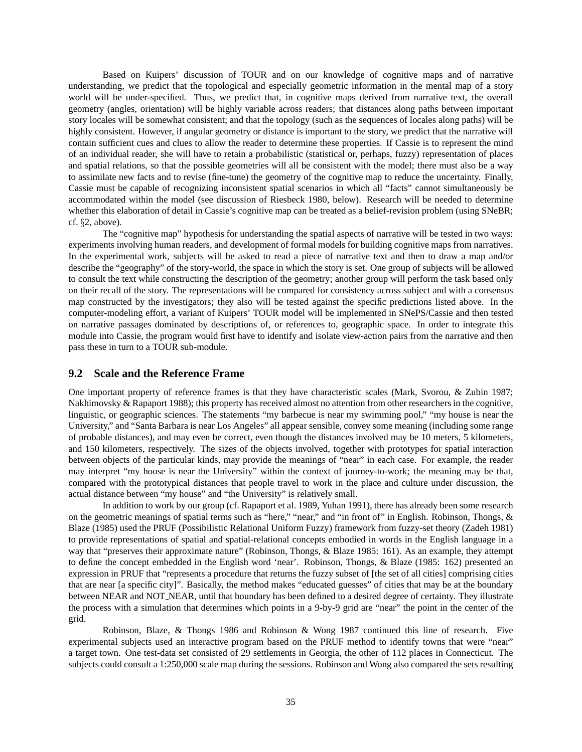Based on Kuipers' discussion of TOUR and on our knowledge of cognitive maps and of narrative understanding, we predict that the topological and especially geometric information in the mental map of a story world will be under-specified. Thus, we predict that, in cognitive maps derived from narrative text, the overall geometry (angles, orientation) will be highly variable across readers; that distances along paths between important story locales will be somewhat consistent; and that the topology (such as the sequences of locales along paths) will be highly consistent. However, if angular geometry or distance is important to the story, we predict that the narrative will contain sufficient cues and clues to allow the reader to determine these properties. If Cassie is to represent the mind of an individual reader, she will have to retain a probabilistic (statistical or, perhaps, fuzzy) representation of places and spatial relations, so that the possible geometries will all be consistent with the model; there must also be a way to assimilate new facts and to revise (fine-tune) the geometry of the cognitive map to reduce the uncertainty. Finally, Cassie must be capable of recognizing inconsistent spatial scenarios in which all "facts" cannot simultaneously be accommodated within the model (see discussion of Riesbeck 1980, below). Research will be needed to determine whether this elaboration of detail in Cassie's cognitive map can be treated as a belief-revision problem (using SNeBR; cf. §2, above).

The "cognitive map" hypothesis for understanding the spatial aspects of narrative will be tested in two ways: experiments involving human readers, and development of formal models for building cognitive maps from narratives. In the experimental work, subjects will be asked to read a piece of narrative text and then to draw a map and/or describe the "geography" of the story-world, the space in which the story is set. One group of subjects will be allowed to consult the text while constructing the description of the geometry; another group will perform the task based only on their recall of the story. The representations will be compared for consistency across subject and with a consensus map constructed by the investigators; they also will be tested against the specific predictions listed above. In the computer-modeling effort, a variant of Kuipers' TOUR model will be implemented in SNePS/Cassie and then tested on narrative passages dominated by descriptions of, or references to, geographic space. In order to integrate this module into Cassie, the program would first have to identify and isolate view-action pairs from the narrative and then pass these in turn to a TOUR sub-module.

### **9.2 Scale and the Reference Frame**

One important property of reference frames is that they have characteristic scales (Mark, Svorou, & Zubin 1987; Nakhimovsky & Rapaport 1988); this property has received almost no attention from other researchers in the cognitive, linguistic, or geographic sciences. The statements "my barbecue is near my swimming pool," "my house is near the University," and "Santa Barbara is near Los Angeles" all appear sensible, convey some meaning (including some range of probable distances), and may even be correct, even though the distances involved may be 10 meters, 5 kilometers, and 150 kilometers, respectively. The sizes of the objects involved, together with prototypes for spatial interaction between objects of the particular kinds, may provide the meanings of "near" in each case. For example, the reader may interpret "my house is near the University" within the context of journey-to-work; the meaning may be that, compared with the prototypical distances that people travel to work in the place and culture under discussion, the actual distance between "my house" and "the University" is relatively small.

In addition to work by our group (cf. Rapaport et al. 1989, Yuhan 1991), there has already been some research on the geometric meanings of spatial terms such as "here," "near," and "in front of" in English. Robinson, Thongs, & Blaze (1985) used the PRUF (Possibilistic Relational Uniform Fuzzy) framework from fuzzy-set theory (Zadeh 1981) to provide representations of spatial and spatial-relational concepts embodied in words in the English language in a way that "preserves their approximate nature" (Robinson, Thongs, & Blaze 1985: 161). As an example, they attempt to define the concept embedded in the English word 'near'. Robinson, Thongs, & Blaze (1985: 162) presented an expression in PRUF that "represents a procedure that returns the fuzzy subset of [the set of all cities] comprising cities that are near [a specific city]". Basically, the method makes "educated guesses" of cities that may be at the boundary between NEAR and NOT NEAR, until that boundary has been defined to a desired degree of certainty. They illustrate the process with a simulation that determines which points in a 9-by-9 grid are "near" the point in the center of the grid.

Robinson, Blaze, & Thongs 1986 and Robinson & Wong 1987 continued this line of research. Five experimental subjects used an interactive program based on the PRUF method to identify towns that were "near" a target town. One test-data set consisted of 29 settlements in Georgia, the other of 112 places in Connecticut. The subjects could consult a 1:250,000 scale map during the sessions. Robinson and Wong also compared the sets resulting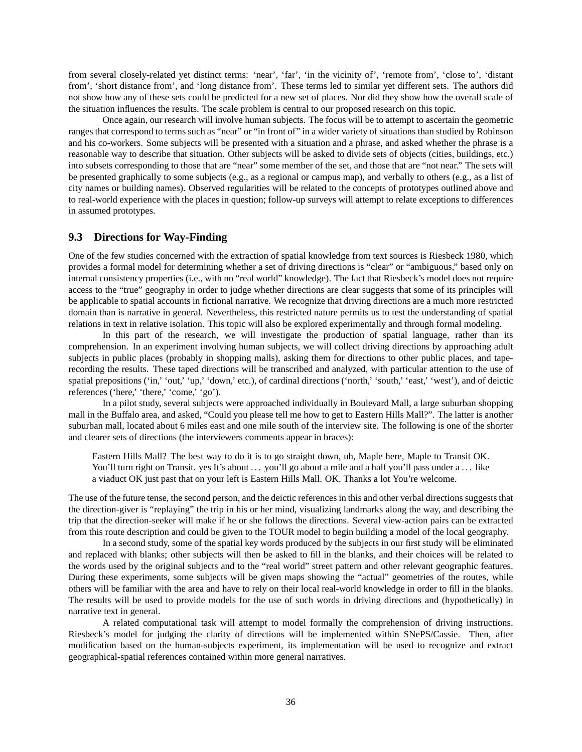from several closely-related yet distinct terms: 'near', 'far', 'in the vicinity of', 'remote from', 'close to', 'distant from', 'short distance from', and 'long distance from'. These terms led to similar yet different sets. The authors did not show how any of these sets could be predicted for a new set of places. Nor did they show how the overall scale of the situation influences the results. The scale problem is central to our proposed research on this topic.

Once again, our research will involve human subjects. The focus will be to attempt to ascertain the geometric ranges that correspond to terms such as "near" or "in front of" in a wider variety of situations than studied by Robinson and his co-workers. Some subjects will be presented with a situation and a phrase, and asked whether the phrase is a reasonable way to describe that situation. Other subjects will be asked to divide sets of objects (cities, buildings, etc.) into subsets corresponding to those that are "near" some member of the set, and those that are "not near." The sets will be presented graphically to some subjects (e.g., as a regional or campus map), and verbally to others (e.g., as a list of city names or building names). Observed regularities will be related to the concepts of prototypes outlined above and to real-world experience with the places in question; follow-up surveys will attempt to relate exceptions to differences in assumed prototypes.

## **9.3 Directions for Way-Finding**

One of the few studies concerned with the extraction of spatial knowledge from text sources is Riesbeck 1980, which provides a formal model for determining whether a set of driving directions is "clear" or "ambiguous," based only on internal consistency properties (i.e., with no "real world" knowledge). The fact that Riesbeck's model does not require access to the "true" geography in order to judge whether directions are clear suggests that some of its principles will be applicable to spatial accounts in fictional narrative. We recognize that driving directions are a much more restricted domain than is narrative in general. Nevertheless, this restricted nature permits us to test the understanding of spatial relations in text in relative isolation. This topic will also be explored experimentally and through formal modeling.

In this part of the research, we will investigate the production of spatial language, rather than its comprehension. In an experiment involving human subjects, we will collect driving directions by approaching adult subjects in public places (probably in shopping malls), asking them for directions to other public places, and taperecording the results. These taped directions will be transcribed and analyzed, with particular attention to the use of spatial prepositions ('in,' 'out,' 'up,' 'down,' etc.), of cardinal directions ('north,' 'south,' 'east,' 'west'), and of deictic references ('here,' 'there,' 'come,' 'go').

In a pilot study, several subjects were approached individually in Boulevard Mall, a large suburban shopping mall in the Buffalo area, and asked, "Could you please tell me how to get to Eastern Hills Mall?". The latter is another suburban mall, located about 6 miles east and one mile south of the interview site. The following is one of the shorter and clearer sets of directions (the interviewers comments appear in braces):

Eastern Hills Mall? The best way to do it is to go straight down, uh, Maple here, Maple to Transit OK. You'll turn right on Transit. yes It's about ... you'll go about a mile and a half you'll pass under a ... like a viaduct OK just past that on your left is Eastern Hills Mall. OK. Thanks a lot You're welcome.

The use of the future tense, the second person, and the deictic references in this and other verbal directions suggests that the direction-giver is "replaying" the trip in his or her mind, visualizing landmarks along the way, and describing the trip that the direction-seeker will make if he or she follows the directions. Several view-action pairs can be extracted from this route description and could be given to the TOUR model to begin building a model of the local geography.

In a second study, some of the spatial key words produced by the subjects in our first study will be eliminated and replaced with blanks; other subjects will then be asked to fill in the blanks, and their choices will be related to the words used by the original subjects and to the "real world" street pattern and other relevant geographic features. During these experiments, some subjects will be given maps showing the "actual" geometries of the routes, while others will be familiar with the area and have to rely on their local real-world knowledge in order to fill in the blanks. The results will be used to provide models for the use of such words in driving directions and (hypothetically) in narrative text in general.

A related computational task will attempt to model formally the comprehension of driving instructions. Riesbeck's model for judging the clarity of directions will be implemented within SNePS/Cassie. Then, after modification based on the human-subjects experiment, its implementation will be used to recognize and extract geographical-spatial references contained within more general narratives.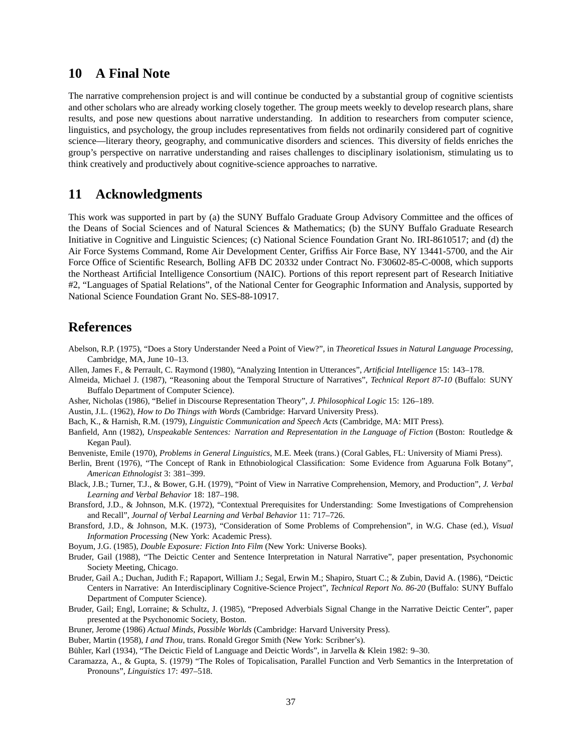# **10 A Final Note**

The narrative comprehension project is and will continue be conducted by a substantial group of cognitive scientists and other scholars who are already working closely together. The group meets weekly to develop research plans, share results, and pose new questions about narrative understanding. In addition to researchers from computer science, linguistics, and psychology, the group includes representatives from fields not ordinarily considered part of cognitive science—literary theory, geography, and communicative disorders and sciences. This diversity of fields enriches the group's perspective on narrative understanding and raises challenges to disciplinary isolationism, stimulating us to think creatively and productively about cognitive-science approaches to narrative.

# **11 Acknowledgments**

This work was supported in part by (a) the SUNY Buffalo Graduate Group Advisory Committee and the offices of the Deans of Social Sciences and of Natural Sciences & Mathematics; (b) the SUNY Buffalo Graduate Research Initiative in Cognitive and Linguistic Sciences; (c) National Science Foundation Grant No. IRI-8610517; and (d) the Air Force Systems Command, Rome Air Development Center, Griffiss Air Force Base, NY 13441-5700, and the Air Force Office of Scientific Research, Bolling AFB DC 20332 under Contract No. F30602-85-C-0008, which supports the Northeast Artificial Intelligence Consortium (NAIC). Portions of this report represent part of Research Initiative #2, "Languages of Spatial Relations", of the National Center for Geographic Information and Analysis, supported by National Science Foundation Grant No. SES-88-10917.

# **References**

- Abelson, R.P. (1975), "Does a Story Understander Need a Point of View?", in *Theoretical Issues in Natural Language Processing*, Cambridge, MA, June 10–13.
- Allen, James F., & Perrault, C. Raymond (1980), "Analyzing Intention in Utterances", *Artificial Intelligence* 15: 143–178.
- Almeida, Michael J. (1987), "Reasoning about the Temporal Structure of Narratives", *Technical Report 87-10* (Buffalo: SUNY Buffalo Department of Computer Science).
- Asher, Nicholas (1986), "Belief in Discourse Representation Theory", *J. Philosophical Logic* 15: 126–189.
- Austin, J.L. (1962), *How to Do Things with Words* (Cambridge: Harvard University Press).
- Bach, K., & Harnish, R.M. (1979), *Linguistic Communication and Speech Acts* (Cambridge, MA: MIT Press).
- Banfield, Ann (1982), *Unspeakable Sentences: Narration and Representation in the Language of Fiction* (Boston: Routledge & Kegan Paul).
- Benveniste, Emile (1970), *Problems in General Linguistics*, M.E. Meek (trans.) (Coral Gables, FL: University of Miami Press).
- Berlin, Brent (1976), "The Concept of Rank in Ethnobiological Classification: Some Evidence from Aguaruna Folk Botany", *American Ethnologist* 3: 381–399.
- Black, J.B.; Turner, T.J., & Bower, G.H. (1979), "Point of View in Narrative Comprehension, Memory, and Production", *J. Verbal Learning and Verbal Behavior* 18: 187–198.
- Bransford, J.D., & Johnson, M.K. (1972), "Contextual Prerequisites for Understanding: Some Investigations of Comprehension and Recall", *Journal of Verbal Learning and Verbal Behavior* 11: 717–726.
- Bransford, J.D., & Johnson, M.K. (1973), "Consideration of Some Problems of Comprehension", in W.G. Chase (ed.), *Visual Information Processing* (New York: Academic Press).
- Boyum, J.G. (1985), *Double Exposure: Fiction Into Film* (New York: Universe Books).
- Bruder, Gail (1988), "The Deictic Center and Sentence Interpretation in Natural Narrative", paper presentation, Psychonomic Society Meeting, Chicago.
- Bruder, Gail A.; Duchan, Judith F.; Rapaport, William J.; Segal, Erwin M.; Shapiro, Stuart C.; & Zubin, David A. (1986), "Deictic Centers in Narrative: An Interdisciplinary Cognitive-Science Project", *Technical Report No. 86-20* (Buffalo: SUNY Buffalo Department of Computer Science).
- Bruder, Gail; Engl, Lorraine; & Schultz, J. (1985), "Preposed Adverbials Signal Change in the Narrative Deictic Center", paper presented at the Psychonomic Society, Boston.
- Bruner, Jerome (1986) *Actual Minds, Possible Worlds* (Cambridge: Harvard University Press).
- Buber, Martin (1958), *I and Thou*, trans. Ronald Gregor Smith (New York: Scribner's).
- Bühler, Karl (1934), "The Deictic Field of Language and Deictic Words", in Jarvella & Klein 1982: 9-30.
- Caramazza, A., & Gupta, S. (1979) "The Roles of Topicalisation, Parallel Function and Verb Semantics in the Interpretation of Pronouns", *Linguistics* 17: 497–518.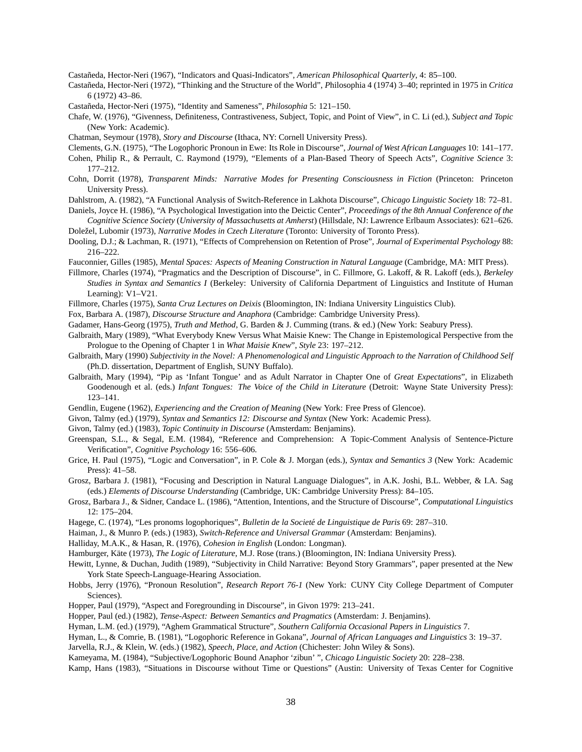Castañeda, Hector-Neri (1967), "Indicators and Quasi-Indicators", *American Philosophical Quarterly*, 4: 85–100.

- Castaneda, Hector-Neri (1972), "Thinking and the Structure of the World", ˜ *P*hilosophia 4 (1974) 3–40; reprinted in 1975 in *Critica* 6 (1972) 43–86.
- Castañeda, Hector-Neri (1975), "Identity and Sameness", *Philosophia* 5: 121-150.
- Chafe, W. (1976), "Givenness, Definiteness, Contrastiveness, Subject, Topic, and Point of View", in C. Li (ed.), *Subject and Topic* (New York: Academic).

Chatman, Seymour (1978), *Story and Discourse* (Ithaca, NY: Cornell University Press).

- Clements, G.N. (1975), "The Logophoric Pronoun in Ewe: Its Role in Discourse", *Journal of West African Languages* 10: 141–177.
- Cohen, Philip R., & Perrault, C. Raymond (1979), "Elements of a Plan-Based Theory of Speech Acts", *Cognitive Science* 3: 177–212.
- Cohn, Dorrit (1978), *Transparent Minds: Narrative Modes for Presenting Consciousness in Fiction* (Princeton: Princeton University Press).
- Dahlstrom, A. (1982), "A Functional Analysis of Switch-Reference in Lakhota Discourse", *Chicago Linguistic Society* 18: 72–81.
- Daniels, Joyce H. (1986), "A Psychological Investigation into the Deictic Center", *Proceedings of the 8th Annual Conference of the Cognitive Science Society* (*University of Massachusetts at Amherst*) (Hillsdale, NJ: Lawrence Erlbaum Associates): 621–626. Doležel, Lubomir (1973), Narrative Modes in Czech Literature (Toronto: University of Toronto Press).
- Dooling, D.J.; & Lachman, R. (1971), "Effects of Comprehension on Retention of Prose", *Journal of Experimental Psychology* 88: 216–222.
- Fauconnier, Gilles (1985), *Mental Spaces: Aspects of Meaning Construction in Natural Language* (Cambridge, MA: MIT Press).
- Fillmore, Charles (1974), "Pragmatics and the Description of Discourse", in C. Fillmore, G. Lakoff, & R. Lakoff (eds.), *Berkeley Studies in Syntax and Semantics I* (Berkeley: University of California Department of Linguistics and Institute of Human Learning): V1–V21.
- Fillmore, Charles (1975), *Santa Cruz Lectures on Deixis* (Bloomington, IN: Indiana University Linguistics Club).
- Fox, Barbara A. (1987), *Discourse Structure and Anaphora* (Cambridge: Cambridge University Press).
- Gadamer, Hans-Georg (1975), *Truth and Method*, G. Barden & J. Cumming (trans. & ed.) (New York: Seabury Press).
- Galbraith, Mary (1989), "What Everybody Knew Versus What Maisie Knew: The Change in Epistemological Perspective from the Prologue to the Opening of Chapter 1 in *What Maisie Knew*", *Style* 23: 197–212.
- Galbraith, Mary (1990) *Subjectivity in the Novel: A Phenomenological and Linguistic Approach to the Narration of Childhood Self* (Ph.D. dissertation, Department of English, SUNY Buffalo).
- Galbraith, Mary (1994), "Pip as 'Infant Tongue' and as Adult Narrator in Chapter One of *Great Expectations*", in Elizabeth Goodenough et al. (eds.) *Infant Tongues: The Voice of the Child in Literature* (Detroit: Wayne State University Press): 123–141.
- Gendlin, Eugene (1962), *Experiencing and the Creation of Meaning* (New York: Free Press of Glencoe).
- Givon, Talmy (ed.) (1979), *Syntax and Semantics 12: Discourse and Syntax* (New York: Academic Press).
- Givon, Talmy (ed.) (1983), *Topic Continuity in Discourse* (Amsterdam: Benjamins).
- Greenspan, S.L., & Segal, E.M. (1984), "Reference and Comprehension: A Topic-Comment Analysis of Sentence-Picture Verification", *Cognitive Psychology* 16: 556–606.
- Grice, H. Paul (1975), "Logic and Conversation", in P. Cole & J. Morgan (eds.), *Syntax and Semantics 3* (New York: Academic Press): 41–58.
- Grosz, Barbara J. (1981), "Focusing and Description in Natural Language Dialogues", in A.K. Joshi, B.L. Webber, & I.A. Sag (eds.) *Elements of Discourse Understanding* (Cambridge, UK: Cambridge University Press): 84–105.
- Grosz, Barbara J., & Sidner, Candace L. (1986), "Attention, Intentions, and the Structure of Discourse", *Computational Linguistics* 12: 175–204.
- Hagege, C. (1974), "Les pronoms logophoriques", *Bulletin de la Societe de Linguistique de Paris ´* 69: 287–310.
- Haiman, J., & Munro P. (eds.) (1983), *Switch-Reference and Universal Grammar* (Amsterdam: Benjamins).
- Halliday, M.A.K., & Hasan, R. (1976), *Cohesion in English* (London: Longman).
- Hamburger, Käte (1973), *The Logic of Literature*, M.J. Rose (trans.) (Bloomington, IN: Indiana University Press).
- Hewitt, Lynne, & Duchan, Judith (1989), "Subjectivity in Child Narrative: Beyond Story Grammars", paper presented at the New York State Speech-Language-Hearing Association.
- Hobbs, Jerry (1976), "Pronoun Resolution", *Research Report 76-1* (New York: CUNY City College Department of Computer Sciences).
- Hopper, Paul (1979), "Aspect and Foregrounding in Discourse", in Givon 1979: 213–241.
- Hopper, Paul (ed.) (1982), *Tense-Aspect: Between Semantics and Pragmatics* (Amsterdam: J. Benjamins).
- Hyman, L.M. (ed.) (1979), "Aghem Grammatical Structure", *Southern California Occasional Papers in Linguistics* 7.
- Hyman, L., & Comrie, B. (1981), "Logophoric Reference in Gokana", *Journal of African Languages and Linguistics* 3: 19–37.
- Jarvella, R.J., & Klein, W. (eds.) (1982), *Speech, Place, and Action* (Chichester: John Wiley & Sons).
- Kameyama, M. (1984), "Subjective/Logophoric Bound Anaphor 'zibun' ", *Chicago Linguistic Society* 20: 228–238.
- Kamp, Hans (1983), "Situations in Discourse without Time or Questions" (Austin: University of Texas Center for Cognitive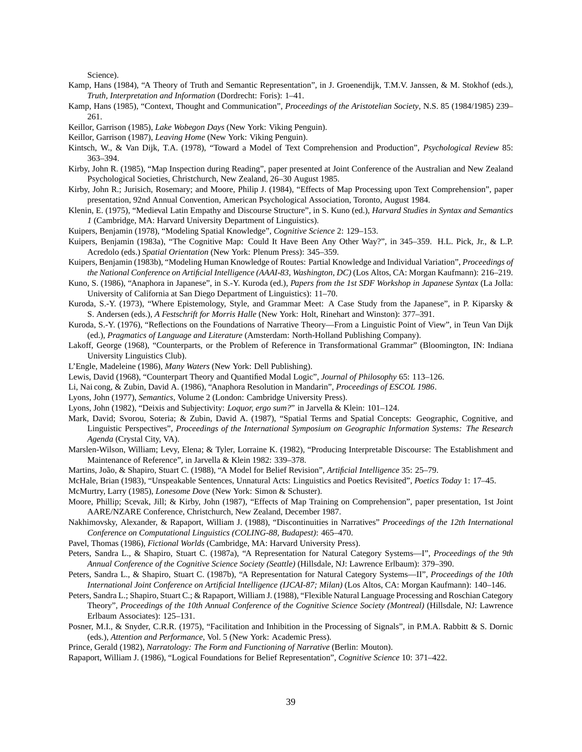Science).

- Kamp, Hans (1984), "A Theory of Truth and Semantic Representation", in J. Groenendijk, T.M.V. Janssen, & M. Stokhof (eds.), *Truth, Interpretation and Information* (Dordrecht: Foris): 1–41.
- Kamp, Hans (1985), "Context, Thought and Communication", *Proceedings of the Aristotelian Society*, N.S. 85 (1984/1985) 239– 261.
- Keillor, Garrison (1985), *Lake Wobegon Days* (New York: Viking Penguin).
- Keillor, Garrison (1987), *Leaving Home* (New York: Viking Penguin).
- Kintsch, W., & Van Dijk, T.A. (1978), "Toward a Model of Text Comprehension and Production", *Psychological Review* 85: 363–394.
- Kirby, John R. (1985), "Map Inspection during Reading", paper presented at Joint Conference of the Australian and New Zealand Psychological Societies, Christchurch, New Zealand, 26–30 August 1985.
- Kirby, John R.; Jurisich, Rosemary; and Moore, Philip J. (1984), "Effects of Map Processing upon Text Comprehension", paper presentation, 92nd Annual Convention, American Psychological Association, Toronto, August 1984.
- Klenin, E. (1975), "Medieval Latin Empathy and Discourse Structure", in S. Kuno (ed.), *Harvard Studies in Syntax and Semantics 1* (Cambridge, MA: Harvard University Department of Linguistics).
- Kuipers, Benjamin (1978), "Modeling Spatial Knowledge", *Cognitive Science* 2: 129–153.
- Kuipers, Benjamin (1983a), "The Cognitive Map: Could It Have Been Any Other Way?", in 345–359. H.L. Pick, Jr., & L.P. Acredolo (eds.) *Spatial Orientation* (New York: Plenum Press): 345–359.
- Kuipers, Benjamin (1983b), "Modeling Human Knowledge of Routes: Partial Knowledge and Individual Variation", *Proceedings of the National Conference on Artificial Intelligence (AAAI-83, Washington, DC)* (Los Altos, CA: Morgan Kaufmann): 216–219.
- Kuno, S. (1986), "Anaphora in Japanese", in S.-Y. Kuroda (ed.), *Papers from the 1st SDF Workshop in Japanese Syntax* (La Jolla: University of California at San Diego Department of Linguistics): 11–70.
- Kuroda, S.-Y. (1973), "Where Epistemology, Style, and Grammar Meet: A Case Study from the Japanese", in P. Kiparsky & S. Andersen (eds.), *A Festschrift for Morris Halle* (New York: Holt, Rinehart and Winston): 377–391.
- Kuroda, S.-Y. (1976), "Reflections on the Foundations of Narrative Theory—From a Linguistic Point of View", in Teun Van Dijk (ed.), *Pragmatics of Language and Literature* (Amsterdam: North-Holland Publishing Company).
- Lakoff, George (1968), "Counterparts, or the Problem of Reference in Transformational Grammar" (Bloomington, IN: Indiana University Linguistics Club).
- L'Engle, Madeleine (1986), *Many Waters* (New York: Dell Publishing).
- Lewis, David (1968), "Counterpart Theory and Quantified Modal Logic", *Journal of Philosophy* 65: 113–126.
- Li, Nai cong, & Zubin, David A. (1986), "Anaphora Resolution in Mandarin", *Proceedings of ESCOL 1986*.
- Lyons, John (1977), *Semantics*, Volume 2 (London: Cambridge University Press).
- Lyons, John (1982), "Deixis and Subjectivity: *Loquor, ergo sum?*" in Jarvella & Klein: 101–124.
- Mark, David; Svorou, Soteria; & Zubin, David A. (1987), "Spatial Terms and Spatial Concepts: Geographic, Cognitive, and Linguistic Perspectives", *Proceedings of the International Symposium on Geographic Information Systems: The Research Agenda* (Crystal City, VA).
- Marslen-Wilson, William; Levy, Elena; & Tyler, Lorraine K. (1982), "Producing Interpretable Discourse: The Establishment and Maintenance of Reference", in Jarvella & Klein 1982: 339–378.
- Martins, João, & Shapiro, Stuart C. (1988), "A Model for Belief Revision", Artificial Intelligence 35: 25-79.
- McHale, Brian (1983), "Unspeakable Sentences, Unnatural Acts: Linguistics and Poetics Revisited", *Poetics Today* 1: 17–45.
- McMurtry, Larry (1985), *Lonesome Dove* (New York: Simon & Schuster).
- Moore, Phillip; Scevak, Jill; & Kirby, John (1987), "Effects of Map Training on Comprehension", paper presentation, 1st Joint AARE/NZARE Conference, Christchurch, New Zealand, December 1987.
- Nakhimovsky, Alexander, & Rapaport, William J. (1988), "Discontinuities in Narratives" *Proceedings of the 12th International Conference on Computational Linguistics (COLING-88, Budapest)*: 465–470.
- Pavel, Thomas (1986), *Fictional Worlds* (Cambridge, MA: Harvard University Press).
- Peters, Sandra L., & Shapiro, Stuart C. (1987a), "A Representation for Natural Category Systems—I", *Proceedings of the 9th Annual Conference of the Cognitive Science Society (Seattle)* (Hillsdale, NJ: Lawrence Erlbaum): 379–390.
- Peters, Sandra L., & Shapiro, Stuart C. (1987b), "A Representation for Natural Category Systems—II", *Proceedings of the 10th International Joint Conference on Artificial Intelligence (IJCAI-87; Milan)* (Los Altos, CA: Morgan Kaufmann): 140–146.
- Peters, Sandra L.; Shapiro, Stuart C.; & Rapaport, William J. (1988), "Flexible Natural Language Processing and Roschian Category Theory", *Proceedings of the 10th Annual Conference of the Cognitive Science Society (Montreal)* (Hillsdale, NJ: Lawrence Erlbaum Associates): 125–131.
- Posner, M.I., & Snyder, C.R.R. (1975), "Facilitation and Inhibition in the Processing of Signals", in P.M.A. Rabbitt & S. Dornic (eds.), *Attention and Performance*, Vol. 5 (New York: Academic Press).

Prince, Gerald (1982), *Narratology: The Form and Functioning of Narrative* (Berlin: Mouton).

Rapaport, William J. (1986), "Logical Foundations for Belief Representation", *Cognitive Science* 10: 371–422.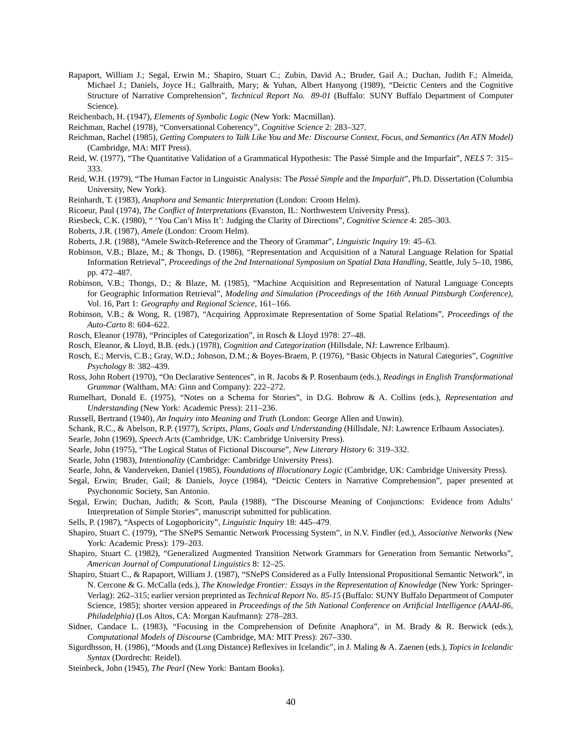Rapaport, William J.; Segal, Erwin M.; Shapiro, Stuart C.; Zubin, David A.; Bruder, Gail A.; Duchan, Judith F.; Almeida, Michael J.; Daniels, Joyce H.; Galbraith, Mary; & Yuhan, Albert Hanyong (1989), "Deictic Centers and the Cognitive Structure of Narrative Comprehension", *Technical Report No. 89-01* (Buffalo: SUNY Buffalo Department of Computer Science).

Reichenbach, H. (1947), *Elements of Symbolic Logic* (New York: Macmillan).

Reichman, Rachel (1978), "Conversational Coherency", *Cognitive Science* 2: 283–327.

Reichman, Rachel (1985), *Getting Computers to Talk Like You and Me: Discourse Context, Focus, and Semantics (An ATN Model)* (Cambridge, MA: MIT Press).

- Reid, W. (1977), "The Quantitative Validation of a Grammatical Hypothesis: The Passé Simple and the Imparfait", *NELS* 7: 315– 333.
- Reid, W.H. (1979), "The Human Factor in Linguistic Analysis: The *Passé Simple* and the *Imparfait*", Ph.D. Dissertation (Columbia University, New York).
- Reinhardt, T. (1983), *Anaphora and Semantic Interpretation* (London: Croom Helm).
- Ricoeur, Paul (1974), *The Conflict of Interpretations* (Evanston, IL: Northwestern University Press).

Riesbeck, C.K. (1980), " 'You Can't Miss It': Judging the Clarity of Directions", *Cognitive Science* 4: 285–303.

- Roberts, J.R. (1987), *Amele* (London: Croom Helm).
- Roberts, J.R. (1988), "Amele Switch-Reference and the Theory of Grammar", *Linguistic Inquiry* 19: 45–63.
- Robinson, V.B.; Blaze, M.; & Thongs, D. (1986), "Representation and Acquisition of a Natural Language Relation for Spatial Information Retrieval", *Proceedings of the 2nd International Symposium on Spatial Data Handling*, Seattle, July 5–10, 1986, pp. 472–487.
- Robinson, V.B.; Thongs, D.; & Blaze, M. (1985), "Machine Acquisition and Representation of Natural Language Concepts for Geographic Information Retrieval", *Modeling and Simulation (Proceedings of the 16th Annual Pittsburgh Conference)*, Vol. 16, Part 1: *Geography and Regional Science*, 161–166.
- Robinson, V.B.; & Wong, R. (1987), "Acquiring Approximate Representation of Some Spatial Relations", *Proceedings of the Auto-Carto* 8: 604–622.
- Rosch, Eleanor (1978), "Principles of Categorization", in Rosch & Lloyd 1978: 27–48.
- Rosch, Eleanor, & Lloyd, B.B. (eds.) (1978), *Cognition and Categorization* (Hillsdale, NJ: Lawrence Erlbaum).
- Rosch, E.; Mervis, C.B.; Gray, W.D.; Johnson, D.M.; & Boyes-Braem, P. (1976), "Basic Objects in Natural Categories", *Cognitive Psychology* 8: 382–439.
- Ross, John Robert (1970), "On Declarative Sentences", in R. Jacobs & P. Rosenbaum (eds.), *Readings in English Transformational Grammar* (Waltham, MA: Ginn and Company): 222–272.
- Rumelhart, Donald E. (1975), "Notes on a Schema for Stories", in D.G. Bobrow & A. Collins (eds.), *Representation and Understanding* (New York: Academic Press): 211–236.
- Russell, Bertrand (1940), *An Inquiry into Meaning and Truth* (London: George Allen and Unwin).
- Schank, R.C., & Abelson, R.P. (1977), *Scripts, Plans, Goals and Understanding* (Hillsdale, NJ: Lawrence Erlbaum Associates).
- Searle, John (1969), *Speech Acts* (Cambridge, UK: Cambridge University Press).
- Searle, John (1975), "The Logical Status of Fictional Discourse", *New Literary History* 6: 319–332.
- Searle, John (1983), *Intentionality* (Cambridge: Cambridge University Press).
- Searle, John, & Vanderveken, Daniel (1985), *Foundations of Illocutionary Logic* (Cambridge, UK: Cambridge University Press).
- Segal, Erwin; Bruder, Gail; & Daniels, Joyce (1984), "Deictic Centers in Narrative Comprehension", paper presented at Psychonomic Society, San Antonio.
- Segal, Erwin; Duchan, Judith; & Scott, Paula (1988), "The Discourse Meaning of Conjunctions: Evidence from Adults' Interpretation of Simple Stories", manuscript submitted for publication.
- Sells, P. (1987), "Aspects of Logophoricity", *Linguistic Inquiry* 18: 445–479.
- Shapiro, Stuart C. (1979), "The SNePS Semantic Network Processing System", in N.V. Findler (ed.), *Associative Networks* (New York: Academic Press): 179–203.
- Shapiro, Stuart C. (1982), "Generalized Augmented Transition Network Grammars for Generation from Semantic Networks", *American Journal of Computational Linguistics* 8: 12–25.
- Shapiro, Stuart C., & Rapaport, William J. (1987), "SNePS Considered as a Fully Intensional Propositional Semantic Network", in N. Cercone & G. McCalla (eds.), *The Knowledge Frontier: Essays in the Representation of Knowledge* (New York: Springer-Verlag): 262–315; earlier version preprinted as *Technical Report No. 85-15* (Buffalo: SUNY Buffalo Department of Computer Science, 1985); shorter version appeared in *Proceedings of the 5th National Conference on Artificial Intelligence (AAAI-86, Philadelphia)* (Los Altos, CA: Morgan Kaufmann): 278–283.
- Sidner, Candace L. (1983), "Focusing in the Comprehension of Definite Anaphora", in M. Brady & R. Berwick (eds.), *Computational Models of Discourse* (Cambridge, MA: MIT Press): 267–330.
- Sigurdhsson, H. (1986), "Moods and (Long Distance) Reflexives in Icelandic", in J. Maling & A. Zaenen (eds.), *Topics in Icelandic Syntax* (Dordrecht: Reidel).
- Steinbeck, John (1945), *The Pearl* (New York: Bantam Books).